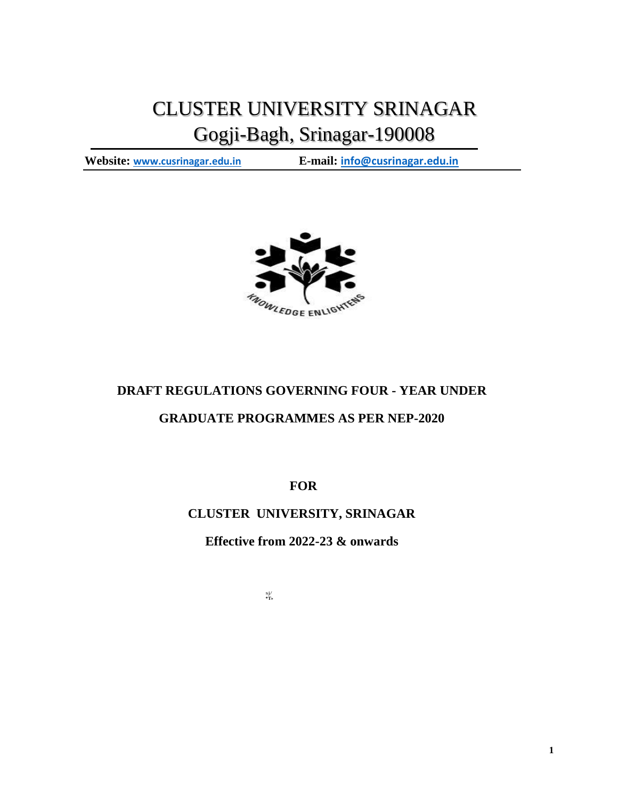# CLUSTER UNIVERSITY SRINAGAR Gogji-Bagh, Srinagar-190008

**Website: [www.cusrinagar.edu.in](http://www.cusrinagar.edu.in/) E-mail: [info@cusrinagar.edu.in](mailto:info@cusrinagar.edu.in)**



## **DRAFT REGULATIONS GOVERNING FOUR - YEAR UNDER**

# **GRADUATE PROGRAMMES AS PER NEP-2020**

**FOR**

# **CLUSTER UNIVERSITY, SRINAGAR**

**Effective from 2022-23 & onwards**

sj/ **\*T»**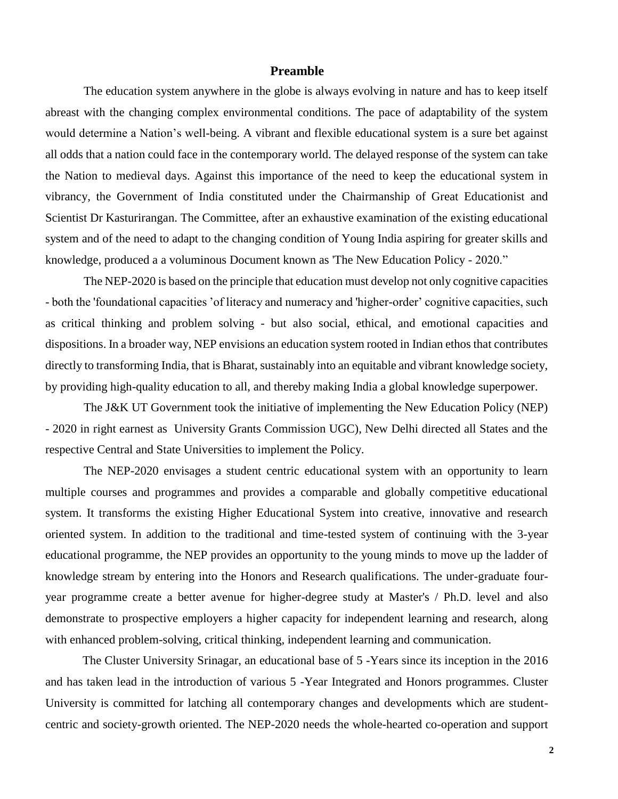### **Preamble**

The education system anywhere in the globe is always evolving in nature and has to keep itself abreast with the changing complex environmental conditions. The pace of adaptability of the system would determine a Nation's well-being. A vibrant and flexible educational system is a sure bet against all odds that a nation could face in the contemporary world. The delayed response of the system can take the Nation to medieval days. Against this importance of the need to keep the educational system in vibrancy, the Government of India constituted under the Chairmanship of Great Educationist and Scientist Dr Kasturirangan. The Committee, after an exhaustive examination of the existing educational system and of the need to adapt to the changing condition of Young India aspiring for greater skills and knowledge, produced a a voluminous Document known as 'The New Education Policy - 2020."

The NEP-2020 is based on the principle that education must develop not only cognitive capacities - both the 'foundational capacities 'of literacy and numeracy and 'higher-order' cognitive capacities, such as critical thinking and problem solving - but also social, ethical, and emotional capacities and dispositions. In a broader way, NEP envisions an education system rooted in Indian ethos that contributes directly to transforming India, that is Bharat, sustainably into an equitable and vibrant knowledge society, by providing high-quality education to all, and thereby making India a global knowledge superpower.

The J&K UT Government took the initiative of implementing the New Education Policy (NEP) - 2020 in right earnest as University Grants Commission UGC), New Delhi directed all States and the respective Central and State Universities to implement the Policy.

The NEP-2020 envisages a student centric educational system with an opportunity to learn multiple courses and programmes and provides a comparable and globally competitive educational system. It transforms the existing Higher Educational System into creative, innovative and research oriented system. In addition to the traditional and time-tested system of continuing with the 3-year educational programme, the NEP provides an opportunity to the young minds to move up the ladder of knowledge stream by entering into the Honors and Research qualifications. The under-graduate fouryear programme create a better avenue for higher-degree study at Master's / Ph.D. level and also demonstrate to prospective employers a higher capacity for independent learning and research, along with enhanced problem-solving, critical thinking, independent learning and communication.

The Cluster University Srinagar, an educational base of 5 -Years since its inception in the 2016 and has taken lead in the introduction of various 5 -Year Integrated and Honors programmes. Cluster University is committed for latching all contemporary changes and developments which are studentcentric and society-growth oriented. The NEP-2020 needs the whole-hearted co-operation and support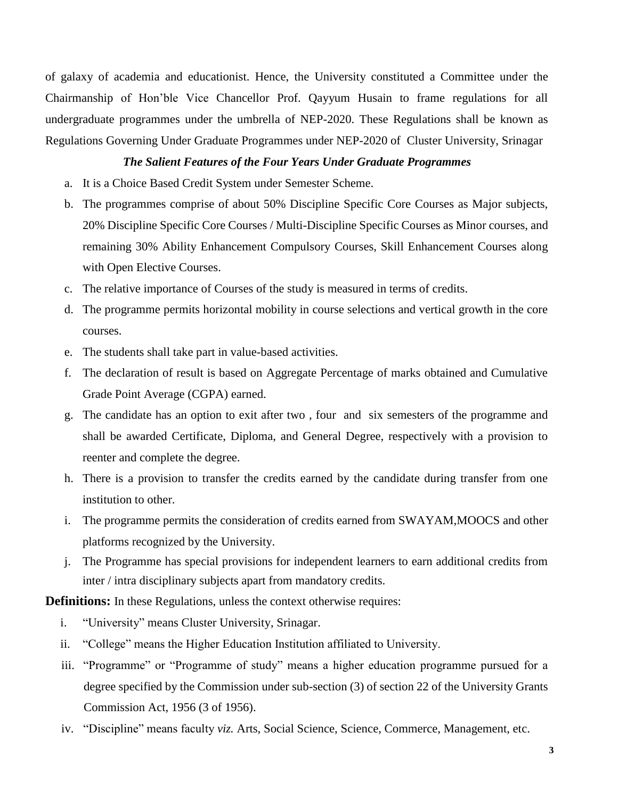of galaxy of academia and educationist. Hence, the University constituted a Committee under the Chairmanship of Hon'ble Vice Chancellor Prof. Qayyum Husain to frame regulations for all undergraduate programmes under the umbrella of NEP-2020. These Regulations shall be known as Regulations Governing Under Graduate Programmes under NEP-2020 of Cluster University, Srinagar

#### *The Salient Features of the Four Years Under Graduate Programmes*

- a. It is a Choice Based Credit System under Semester Scheme.
- b. The programmes comprise of about 50% Discipline Specific Core Courses as Major subjects, 20% Discipline Specific Core Courses / Multi-Discipline Specific Courses as Minor courses, and remaining 30% Ability Enhancement Compulsory Courses, Skill Enhancement Courses along with Open Elective Courses.
- c. The relative importance of Courses of the study is measured in terms of credits.
- d. The programme permits horizontal mobility in course selections and vertical growth in the core courses.
- e. The students shall take part in value-based activities.
- f. The declaration of result is based on Aggregate Percentage of marks obtained and Cumulative Grade Point Average (CGPA) earned.
- g. The candidate has an option to exit after two , four and six semesters of the programme and shall be awarded Certificate, Diploma, and General Degree, respectively with a provision to reenter and complete the degree.
- h. There is a provision to transfer the credits earned by the candidate during transfer from one institution to other.
- i. The programme permits the consideration of credits earned from SWAYAM,MOOCS and other platforms recognized by the University.
- j. The Programme has special provisions for independent learners to earn additional credits from inter / intra disciplinary subjects apart from mandatory credits.

**Definitions:** In these Regulations, unless the context otherwise requires:

- i. "University" means Cluster University, Srinagar.
- ii. "College" means the Higher Education Institution affiliated to University.
- iii. "Programme" or "Programme of study" means a higher education programme pursued for a degree specified by the Commission under sub-section (3) of section 22 of the University Grants Commission Act, 1956 (3 of 1956).
- iv. "Discipline" means faculty *viz.* Arts, Social Science, Science, Commerce, Management, etc.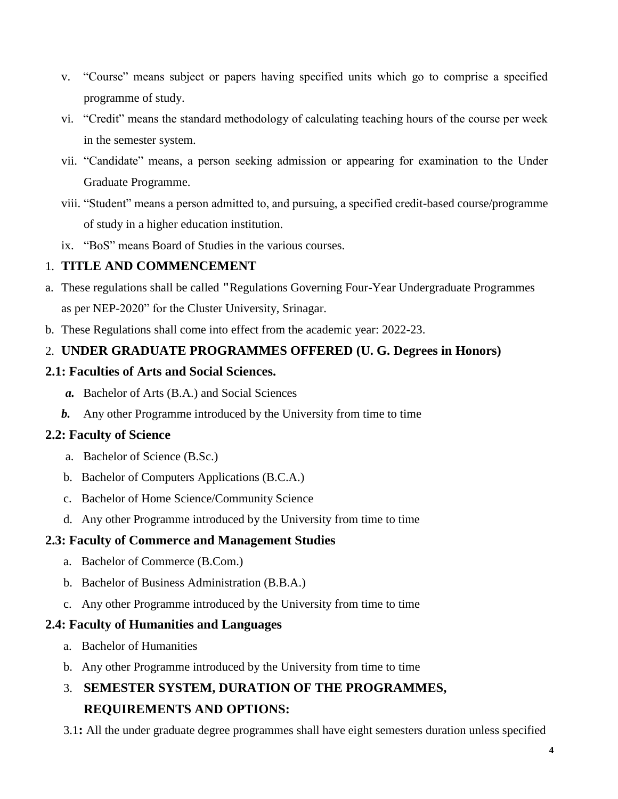- v. "Course" means subject or papers having specified units which go to comprise a specified programme of study.
- vi. "Credit" means the standard methodology of calculating teaching hours of the course per week in the semester system.
- vii. "Candidate" means, a person seeking admission or appearing for examination to the Under Graduate Programme.
- viii. "Student" means a person admitted to, and pursuing, a specified credit-based course/programme of study in a higher education institution.
- ix. "BoS" means Board of Studies in the various courses.

# 1. **TITLE AND COMMENCEMENT**

- a. These regulations shall be called **"**Regulations Governing Four-Year Undergraduate Programmes as per NEP-2020" for the Cluster University, Srinagar.
- b. These Regulations shall come into effect from the academic year: 2022-23.

# 2. **UNDER GRADUATE PROGRAMMES OFFERED (U. G. Degrees in Honors)**

## **2.1: Faculties of Arts and Social Sciences.**

- *a.* Bachelor of Arts (B.A.) and Social Sciences
- *b.* Any other Programme introduced by the University from time to time

## **2.2: Faculty of Science**

- a. Bachelor of Science (B.Sc.)
- b. Bachelor of Computers Applications (B.C.A.)
- c. Bachelor of Home Science/Community Science
- d. Any other Programme introduced by the University from time to time

## **2.3: Faculty of Commerce and Management Studies**

- a. Bachelor of Commerce (B.Com.)
- b. Bachelor of Business Administration (B.B.A.)
- c. Any other Programme introduced by the University from time to time

## **2.4: Faculty of Humanities and Languages**

- a. Bachelor of Humanities
- b. Any other Programme introduced by the University from time to time

# 3. **SEMESTER SYSTEM, DURATION OF THE PROGRAMMES, REQUIREMENTS AND OPTIONS:**

3.1**:** All the under graduate degree programmes shall have eight semesters duration unless specified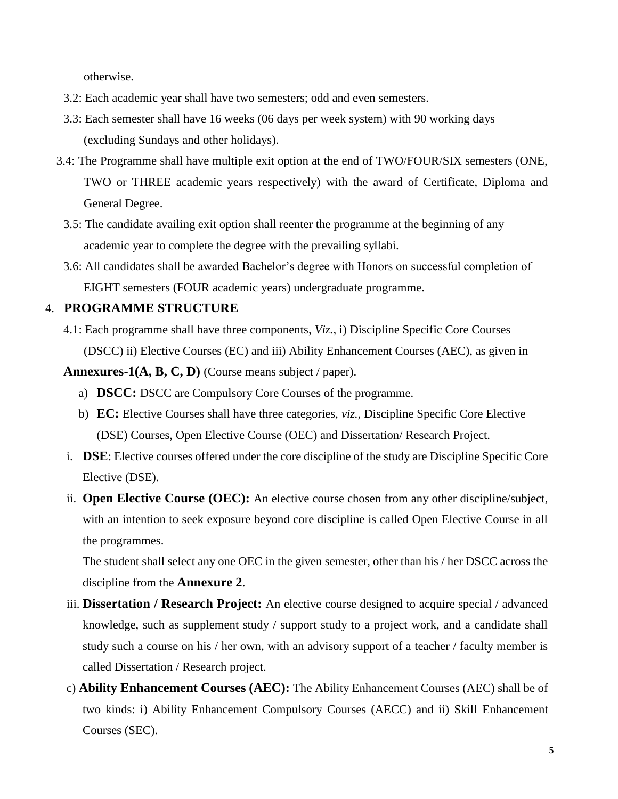otherwise.

- 3.2: Each academic year shall have two semesters; odd and even semesters.
- 3.3: Each semester shall have 16 weeks (06 days per week system) with 90 working days (excluding Sundays and other holidays).
- 3.4: The Programme shall have multiple exit option at the end of TWO/FOUR/SIX semesters (ONE, TWO or THREE academic years respectively) with the award of Certificate, Diploma and General Degree.
	- 3.5: The candidate availing exit option shall reenter the programme at the beginning of any academic year to complete the degree with the prevailing syllabi.
	- 3.6: All candidates shall be awarded Bachelor's degree with Honors on successful completion of EIGHT semesters (FOUR academic years) undergraduate programme.

## 4. **PROGRAMME STRUCTURE**

4.1: Each programme shall have three components, *Viz.,* i) Discipline Specific Core Courses (DSCC) ii) Elective Courses (EC) and iii) Ability Enhancement Courses (AEC), as given in

**Annexures-1(A, B, C, D)** (Course means subject / paper).

- a) **DSCC:** DSCC are Compulsory Core Courses of the programme.
- b) **EC:** Elective Courses shall have three categories, *viz.,* Discipline Specific Core Elective (DSE) Courses, Open Elective Course (OEC) and Dissertation/ Research Project.
- i. **DSE**: Elective courses offered under the core discipline of the study are Discipline Specific Core Elective (DSE).
- ii. **Open Elective Course (OEC):** An elective course chosen from any other discipline/subject, with an intention to seek exposure beyond core discipline is called Open Elective Course in all the programmes.

The student shall select any one OEC in the given semester, other than his / her DSCC across the discipline from the **Annexure 2**.

- iii. **Dissertation / Research Project:** An elective course designed to acquire special / advanced knowledge, such as supplement study / support study to a project work, and a candidate shall study such a course on his / her own, with an advisory support of a teacher / faculty member is called Dissertation / Research project.
- c) **Ability Enhancement Courses (AEC):** The Ability Enhancement Courses (AEC) shall be of two kinds: i) Ability Enhancement Compulsory Courses (AECC) and ii) Skill Enhancement Courses (SEC).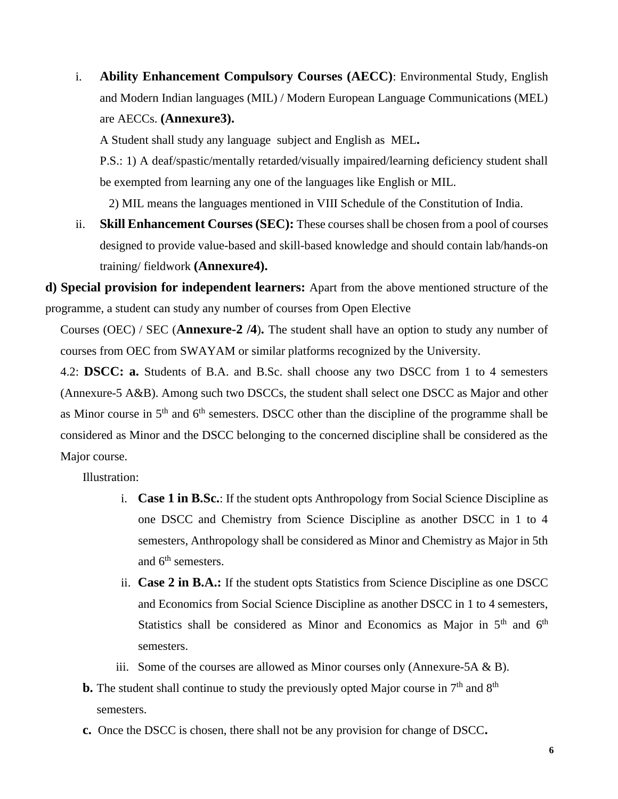i. **Ability Enhancement Compulsory Courses (AECC)**: Environmental Study, English and Modern Indian languages (MIL) / Modern European Language Communications (MEL) are AECCs. **(Annexure3).**

A Student shall study any language subject and English as MEL**.** 

P.S.: 1) A deaf/spastic/mentally retarded/visually impaired/learning deficiency student shall be exempted from learning any one of the languages like English or MIL.

2) MIL means the languages mentioned in VIII Schedule of the Constitution of India.

ii. **Skill Enhancement Courses (SEC):** These courses shall be chosen from a pool of courses designed to provide value-based and skill-based knowledge and should contain lab/hands-on training/ fieldwork **(Annexure4).**

**d) Special provision for independent learners:** Apart from the above mentioned structure of the programme, a student can study any number of courses from Open Elective

Courses (OEC) / SEC (**Annexure-2 /4**)**.** The student shall have an option to study any number of courses from OEC from SWAYAM or similar platforms recognized by the University.

4.2: **DSCC: a.** Students of B.A. and B.Sc. shall choose any two DSCC from 1 to 4 semesters (Annexure-5 A&B). Among such two DSCCs, the student shall select one DSCC as Major and other as Minor course in 5<sup>th</sup> and 6<sup>th</sup> semesters. DSCC other than the discipline of the programme shall be considered as Minor and the DSCC belonging to the concerned discipline shall be considered as the Major course.

Illustration:

- i. **Case 1 in B.Sc.**: If the student opts Anthropology from Social Science Discipline as one DSCC and Chemistry from Science Discipline as another DSCC in 1 to 4 semesters, Anthropology shall be considered as Minor and Chemistry as Major in 5th and 6<sup>th</sup> semesters.
- ii. **Case 2 in B.A.:** If the student opts Statistics from Science Discipline as one DSCC and Economics from Social Science Discipline as another DSCC in 1 to 4 semesters, Statistics shall be considered as Minor and Economics as Major in  $5<sup>th</sup>$  and  $6<sup>th</sup>$ semesters.
- iii. Some of the courses are allowed as Minor courses only (Annexure-5A  $\&$  B).
- **b.** The student shall continue to study the previously opted Major course in  $7<sup>th</sup>$  and  $8<sup>th</sup>$ semesters.
- **c.** Once the DSCC is chosen, there shall not be any provision for change of DSCC**.**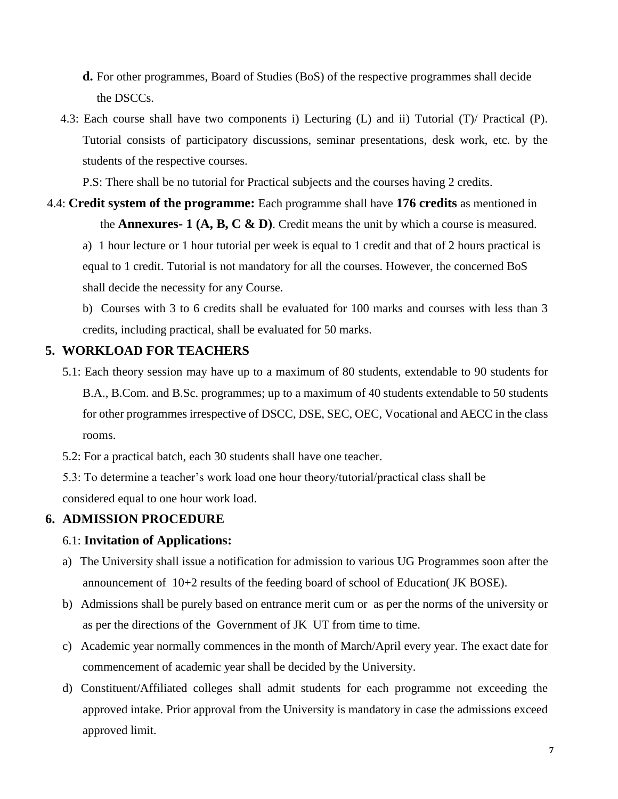- **d.** For other programmes, Board of Studies (BoS) of the respective programmes shall decide the DSCCs.
- 4.3: Each course shall have two components i) Lecturing (L) and ii) Tutorial (T)/ Practical (P). Tutorial consists of participatory discussions, seminar presentations, desk work, etc. by the students of the respective courses.

P.S: There shall be no tutorial for Practical subjects and the courses having 2 credits.

# 4.4: **Credit system of the programme:** Each programme shall have **176 credits** as mentioned in the **Annexures- 1 (A, B, C & D)**. Credit means the unit by which a course is measured.

a) 1 hour lecture or 1 hour tutorial per week is equal to 1 credit and that of 2 hours practical is equal to 1 credit. Tutorial is not mandatory for all the courses. However, the concerned BoS shall decide the necessity for any Course.

b) Courses with 3 to 6 credits shall be evaluated for 100 marks and courses with less than 3 credits, including practical, shall be evaluated for 50 marks.

## **5. WORKLOAD FOR TEACHERS**

- 5.1: Each theory session may have up to a maximum of 80 students, extendable to 90 students for B.A., B.Com. and B.Sc. programmes; up to a maximum of 40 students extendable to 50 students for other programmes irrespective of DSCC, DSE, SEC, OEC, Vocational and AECC in the class rooms.
- 5.2: For a practical batch, each 30 students shall have one teacher.

5.3: To determine a teacher's work load one hour theory/tutorial/practical class shall be considered equal to one hour work load.

## **6. ADMISSION PROCEDURE**

## 6.1: **Invitation of Applications:**

- a) The University shall issue a notification for admission to various UG Programmes soon after the announcement of 10+2 results of the feeding board of school of Education( JK BOSE).
- b) Admissions shall be purely based on entrance merit cum or as per the norms of the university or as per the directions of the Government of JK UT from time to time.
- c) Academic year normally commences in the month of March/April every year. The exact date for commencement of academic year shall be decided by the University.
- d) Constituent/Affiliated colleges shall admit students for each programme not exceeding the approved intake. Prior approval from the University is mandatory in case the admissions exceed approved limit.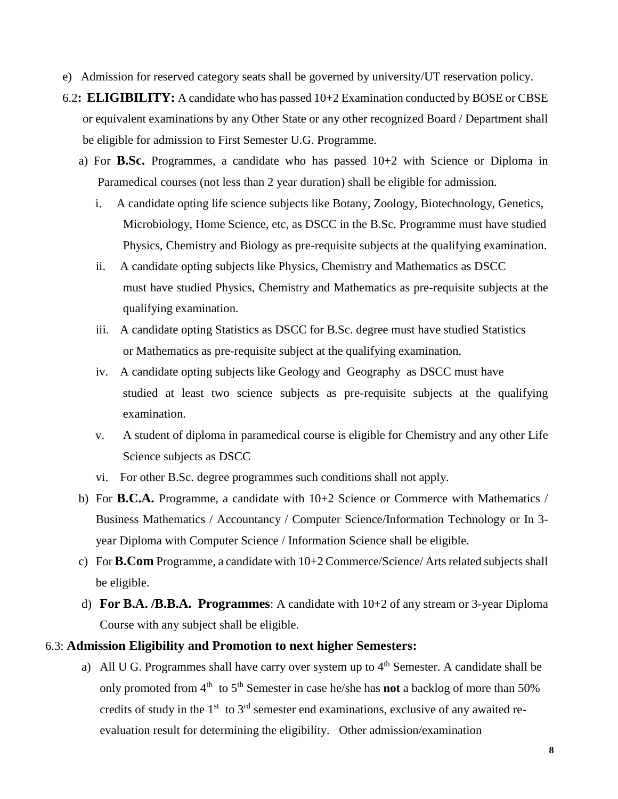- e) Admission for reserved category seats shall be governed by university/UT reservation policy.
- 6.2**: ELIGIBILITY:** A candidate who has passed 10+2 Examination conducted by BOSE or CBSE or equivalent examinations by any Other State or any other recognized Board / Department shall be eligible for admission to First Semester U.G. Programme.
	- a) For **B.Sc.** Programmes, a candidate who has passed 10+2 with Science or Diploma in Paramedical courses (not less than 2 year duration) shall be eligible for admission.
		- i. A candidate opting life science subjects like Botany, Zoology, Biotechnology, Genetics, Microbiology, Home Science, etc, as DSCC in the B.Sc. Programme must have studied Physics, Chemistry and Biology as pre-requisite subjects at the qualifying examination.
		- ii. A candidate opting subjects like Physics, Chemistry and Mathematics as DSCC must have studied Physics, Chemistry and Mathematics as pre-requisite subjects at the qualifying examination.
		- iii. A candidate opting Statistics as DSCC for B.Sc. degree must have studied Statistics or Mathematics as pre-requisite subject at the qualifying examination.
		- iv. A candidate opting subjects like Geology and Geography as DSCC must have studied at least two science subjects as pre-requisite subjects at the qualifying examination.
		- v. A student of diploma in paramedical course is eligible for Chemistry and any other Life Science subjects as DSCC
		- vi. For other B.Sc. degree programmes such conditions shall not apply.
	- b) For **B.C.A.** Programme, a candidate with 10+2 Science or Commerce with Mathematics / Business Mathematics / Accountancy / Computer Science/Information Technology or In 3 year Diploma with Computer Science / Information Science shall be eligible.
	- c) For **B.Com** Programme, a candidate with 10+2 Commerce/Science/ Arts related subjects shall be eligible.
	- d) **For B.A. /B.B.A. Programmes**: A candidate with 10+2 of any stream or 3-year Diploma Course with any subject shall be eligible.

#### 6.3: **Admission Eligibility and Promotion to next higher Semesters:**

a) All U G. Programmes shall have carry over system up to  $4<sup>th</sup>$  Semester. A candidate shall be only promoted from 4<sup>th</sup> to 5<sup>th</sup> Semester in case he/she has **not** a backlog of more than 50% credits of study in the  $1<sup>st</sup>$  to  $3<sup>rd</sup>$  semester end examinations, exclusive of any awaited reevaluation result for determining the eligibility. Other admission/examination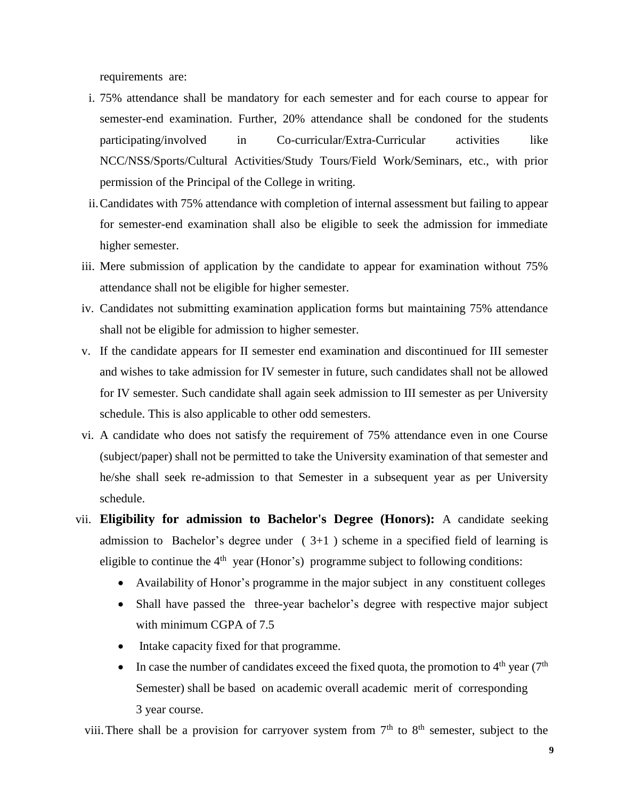requirements are:

- i. 75% attendance shall be mandatory for each semester and for each course to appear for semester-end examination. Further, 20% attendance shall be condoned for the students participating/involved in Co-curricular/Extra-Curricular activities like NCC/NSS/Sports/Cultural Activities/Study Tours/Field Work/Seminars, etc., with prior permission of the Principal of the College in writing.
- ii.Candidates with 75% attendance with completion of internal assessment but failing to appear for semester-end examination shall also be eligible to seek the admission for immediate higher semester.
- iii. Mere submission of application by the candidate to appear for examination without 75% attendance shall not be eligible for higher semester.
- iv. Candidates not submitting examination application forms but maintaining 75% attendance shall not be eligible for admission to higher semester.
- v. If the candidate appears for II semester end examination and discontinued for III semester and wishes to take admission for IV semester in future, such candidates shall not be allowed for IV semester. Such candidate shall again seek admission to III semester as per University schedule. This is also applicable to other odd semesters.
- vi. A candidate who does not satisfy the requirement of 75% attendance even in one Course (subject/paper) shall not be permitted to take the University examination of that semester and he/she shall seek re-admission to that Semester in a subsequent year as per University schedule.
- vii. **Eligibility for admission to Bachelor's Degree (Honors):** A candidate seeking admission to Bachelor's degree under  $(3+1)$  scheme in a specified field of learning is eligible to continue the  $4<sup>th</sup>$  year (Honor's) programme subject to following conditions:
	- Availability of Honor's programme in the major subject in any constituent colleges
	- Shall have passed the three-year bachelor's degree with respective major subject with minimum CGPA of 7.5
	- Intake capacity fixed for that programme.
	- In case the number of candidates exceed the fixed quota, the promotion to  $4<sup>th</sup>$  year (7<sup>th</sup>) Semester) shall be based on academic overall academic merit of corresponding 3 year course.

viii. There shall be a provision for carryover system from  $7<sup>th</sup>$  to  $8<sup>th</sup>$  semester, subject to the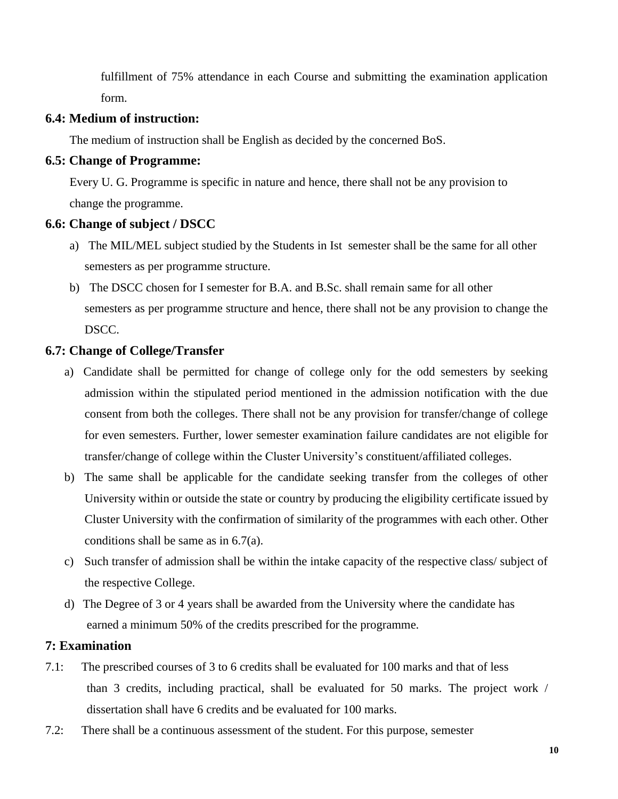fulfillment of 75% attendance in each Course and submitting the examination application form.

### **6.4: Medium of instruction:**

The medium of instruction shall be English as decided by the concerned BoS.

### **6.5: Change of Programme:**

Every U. G. Programme is specific in nature and hence, there shall not be any provision to change the programme.

### **6.6: Change of subject / DSCC**

- a) The MIL/MEL subject studied by the Students in Ist semester shall be the same for all other semesters as per programme structure.
- b) The DSCC chosen for I semester for B.A. and B.Sc. shall remain same for all other semesters as per programme structure and hence, there shall not be any provision to change the DSCC.

### **6.7: Change of College/Transfer**

- a) Candidate shall be permitted for change of college only for the odd semesters by seeking admission within the stipulated period mentioned in the admission notification with the due consent from both the colleges. There shall not be any provision for transfer/change of college for even semesters. Further, lower semester examination failure candidates are not eligible for transfer/change of college within the Cluster University's constituent/affiliated colleges.
- b) The same shall be applicable for the candidate seeking transfer from the colleges of other University within or outside the state or country by producing the eligibility certificate issued by Cluster University with the confirmation of similarity of the programmes with each other. Other conditions shall be same as in 6.7(a).
- c) Such transfer of admission shall be within the intake capacity of the respective class/ subject of the respective College.
- d) The Degree of 3 or 4 years shall be awarded from the University where the candidate has earned a minimum 50% of the credits prescribed for the programme.

## **7: Examination**

- 7.1: The prescribed courses of 3 to 6 credits shall be evaluated for 100 marks and that of less than 3 credits, including practical, shall be evaluated for 50 marks. The project work / dissertation shall have 6 credits and be evaluated for 100 marks.
- 7.2: There shall be a continuous assessment of the student. For this purpose, semester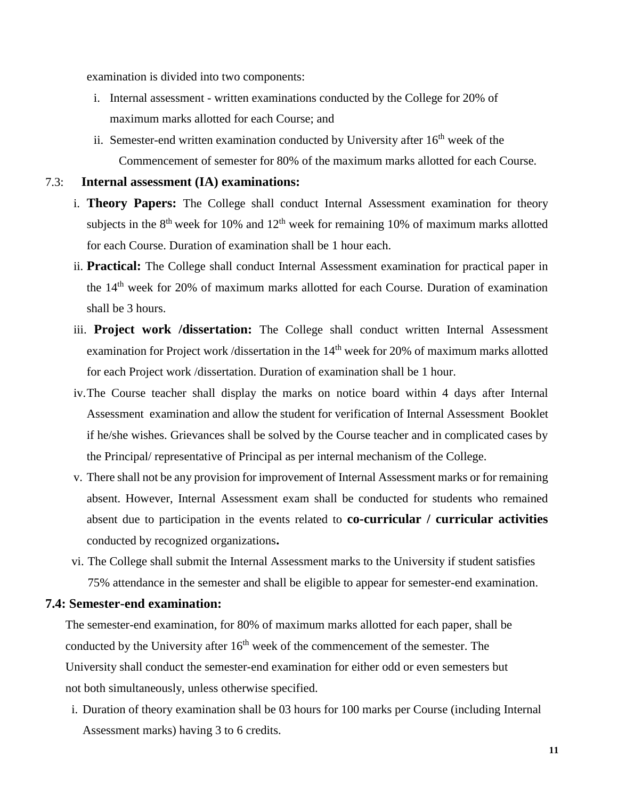examination is divided into two components:

- i. Internal assessment written examinations conducted by the College for 20% of maximum marks allotted for each Course; and
- ii. Semester-end written examination conducted by University after  $16<sup>th</sup>$  week of the Commencement of semester for 80% of the maximum marks allotted for each Course.

#### 7.3: **Internal assessment (IA) examinations:**

- i. **Theory Papers:** The College shall conduct Internal Assessment examination for theory subjects in the  $8<sup>th</sup>$  week for 10% and 12<sup>th</sup> week for remaining 10% of maximum marks allotted for each Course. Duration of examination shall be 1 hour each.
- ii. **Practical:** The College shall conduct Internal Assessment examination for practical paper in the 14th week for 20% of maximum marks allotted for each Course. Duration of examination shall be 3 hours.
- iii. **Project work /dissertation:** The College shall conduct written Internal Assessment examination for Project work /dissertation in the  $14<sup>th</sup>$  week for 20% of maximum marks allotted for each Project work /dissertation. Duration of examination shall be 1 hour.
- iv.The Course teacher shall display the marks on notice board within 4 days after Internal Assessment examination and allow the student for verification of Internal Assessment Booklet if he/she wishes. Grievances shall be solved by the Course teacher and in complicated cases by the Principal/ representative of Principal as per internal mechanism of the College.
- v. There shall not be any provision for improvement of Internal Assessment marks or for remaining absent. However, Internal Assessment exam shall be conducted for students who remained absent due to participation in the events related to **co-curricular / curricular activities**  conducted by recognized organizations**.**
- vi. The College shall submit the Internal Assessment marks to the University if student satisfies 75% attendance in the semester and shall be eligible to appear for semester-end examination.

### **7.4: Semester-end examination:**

The semester-end examination, for 80% of maximum marks allotted for each paper, shall be conducted by the University after  $16<sup>th</sup>$  week of the commencement of the semester. The University shall conduct the semester-end examination for either odd or even semesters but not both simultaneously, unless otherwise specified.

i. Duration of theory examination shall be 03 hours for 100 marks per Course (including Internal Assessment marks) having 3 to 6 credits.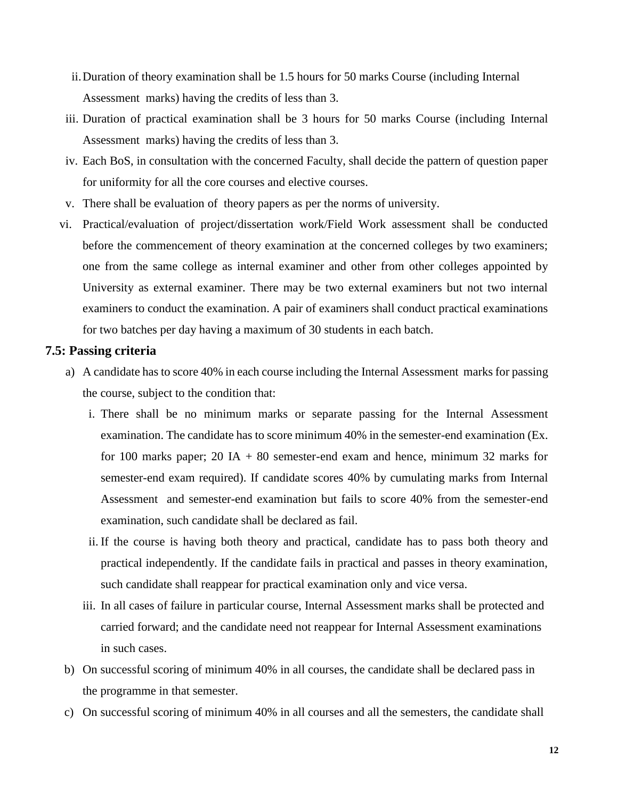- ii.Duration of theory examination shall be 1.5 hours for 50 marks Course (including Internal Assessment marks) having the credits of less than 3.
- iii. Duration of practical examination shall be 3 hours for 50 marks Course (including Internal Assessment marks) having the credits of less than 3.
- iv. Each BoS, in consultation with the concerned Faculty, shall decide the pattern of question paper for uniformity for all the core courses and elective courses.
- v. There shall be evaluation of theory papers as per the norms of university.
- vi. Practical/evaluation of project/dissertation work/Field Work assessment shall be conducted before the commencement of theory examination at the concerned colleges by two examiners; one from the same college as internal examiner and other from other colleges appointed by University as external examiner. There may be two external examiners but not two internal examiners to conduct the examination. A pair of examiners shall conduct practical examinations for two batches per day having a maximum of 30 students in each batch.

#### **7.5: Passing criteria**

- a) A candidate has to score 40% in each course including the Internal Assessment marks for passing the course, subject to the condition that:
	- i. There shall be no minimum marks or separate passing for the Internal Assessment examination. The candidate has to score minimum 40% in the semester-end examination (Ex. for 100 marks paper; 20 IA  $+$  80 semester-end exam and hence, minimum 32 marks for semester-end exam required). If candidate scores 40% by cumulating marks from Internal Assessment and semester-end examination but fails to score 40% from the semester-end examination, such candidate shall be declared as fail.
	- ii. If the course is having both theory and practical, candidate has to pass both theory and practical independently. If the candidate fails in practical and passes in theory examination, such candidate shall reappear for practical examination only and vice versa.
	- iii. In all cases of failure in particular course, Internal Assessment marks shall be protected and carried forward; and the candidate need not reappear for Internal Assessment examinations in such cases.
- b) On successful scoring of minimum 40% in all courses, the candidate shall be declared pass in the programme in that semester.
- c) On successful scoring of minimum 40% in all courses and all the semesters, the candidate shall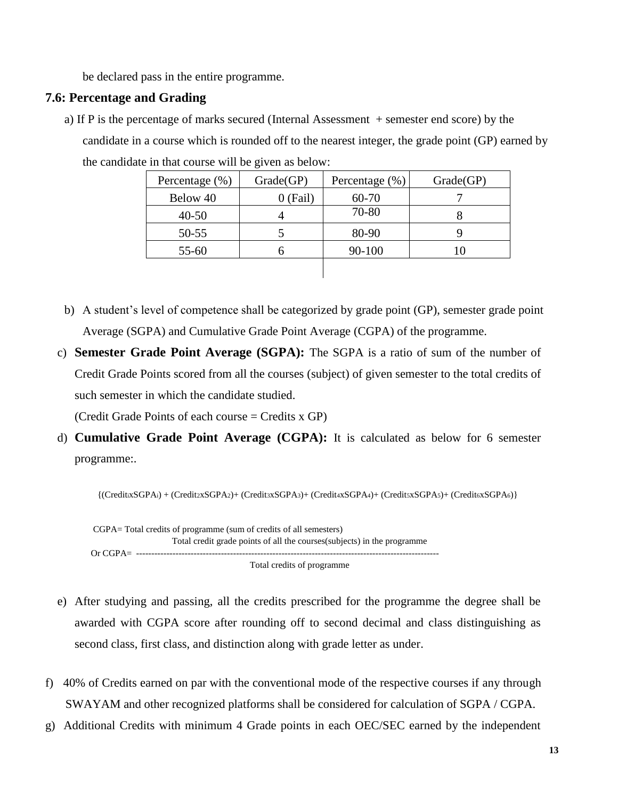be declared pass in the entire programme.

### **7.6: Percentage and Grading**

a) If P is the percentage of marks secured (Internal Assessment + semester end score) by the candidate in a course which is rounded off to the nearest integer, the grade point (GP) earned by the candidate in that course will be given as below:

| Percentage $(\%)$ | Grade(GP) | Percentage $(\% )$ | Grade(GP) |
|-------------------|-----------|--------------------|-----------|
| Below 40          | 0 (Fail)  | 60-70              |           |
| 40-50             |           | 70-80              |           |
| 50-55             |           | 80-90              |           |
| 55-60             |           | 90-100             |           |
|                   |           |                    |           |

- b) A student's level of competence shall be categorized by grade point (GP), semester grade point Average (SGPA) and Cumulative Grade Point Average (CGPA) of the programme.
- c) **Semester Grade Point Average (SGPA):** The SGPA is a ratio of sum of the number of Credit Grade Points scored from all the courses (subject) of given semester to the total credits of such semester in which the candidate studied.

(Credit Grade Points of each course = Credits x GP)

d) **Cumulative Grade Point Average (CGPA):** It is calculated as below for 6 semester programme:.

{(CreditxSGPAi) + (Credit2xSGPA2)+ (Credit3xSGPA3)+ (Credit4xSGPA4)+ (Credit5xSGPA5)+ (Credit6xSGPA6)}

 CGPA= Total credits of programme (sum of credits of all semesters) Total credit grade points of all the courses(subjects) in the programme Or CGPA= ---------------------------------------------------------------------------------------------------- Total credits of programme

- e) After studying and passing, all the credits prescribed for the programme the degree shall be awarded with CGPA score after rounding off to second decimal and class distinguishing as second class, first class, and distinction along with grade letter as under.
- f) 40% of Credits earned on par with the conventional mode of the respective courses if any through SWAYAM and other recognized platforms shall be considered for calculation of SGPA / CGPA.
- g) Additional Credits with minimum 4 Grade points in each OEC/SEC earned by the independent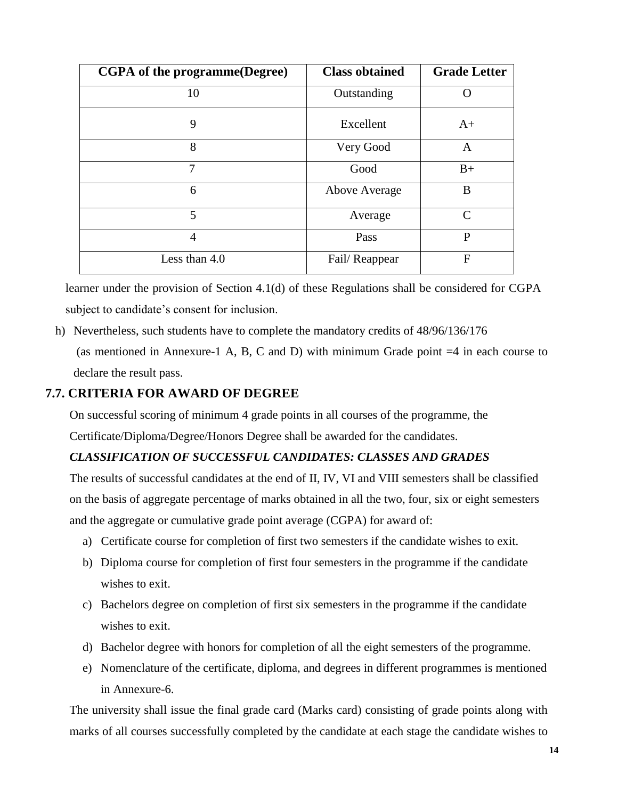| <b>CGPA</b> of the programme(Degree) | <b>Class obtained</b> | <b>Grade Letter</b> |
|--------------------------------------|-----------------------|---------------------|
| 10                                   | Outstanding           | $\left( \right)$    |
| 9                                    | Excellent             | $A+$                |
| 8                                    | Very Good             | A                   |
| 7                                    | Good                  | $B+$                |
| 6                                    | Above Average         | B                   |
| 5                                    | Average               | $\subset$           |
| $\overline{4}$                       | Pass                  | P                   |
| Less than 4.0                        | Fail/Reappear         | F                   |

learner under the provision of Section 4.1(d) of these Regulations shall be considered for CGPA subject to candidate's consent for inclusion.

h) Nevertheless, such students have to complete the mandatory credits of 48/96/136/176

(as mentioned in Annexure-1 A, B, C and D) with minimum Grade point  $=4$  in each course to declare the result pass.

## **7.7. CRITERIA FOR AWARD OF DEGREE**

On successful scoring of minimum 4 grade points in all courses of the programme, the Certificate/Diploma/Degree/Honors Degree shall be awarded for the candidates.

## *CLASSIFICATION OF SUCCESSFUL CANDIDATES: CLASSES AND GRADES*

The results of successful candidates at the end of II, IV, VI and VIII semesters shall be classified on the basis of aggregate percentage of marks obtained in all the two, four, six or eight semesters and the aggregate or cumulative grade point average (CGPA) for award of:

- a) Certificate course for completion of first two semesters if the candidate wishes to exit.
- b) Diploma course for completion of first four semesters in the programme if the candidate wishes to exit.
- c) Bachelors degree on completion of first six semesters in the programme if the candidate wishes to exit.
- d) Bachelor degree with honors for completion of all the eight semesters of the programme.
- e) Nomenclature of the certificate, diploma, and degrees in different programmes is mentioned in Annexure-6.

The university shall issue the final grade card (Marks card) consisting of grade points along with marks of all courses successfully completed by the candidate at each stage the candidate wishes to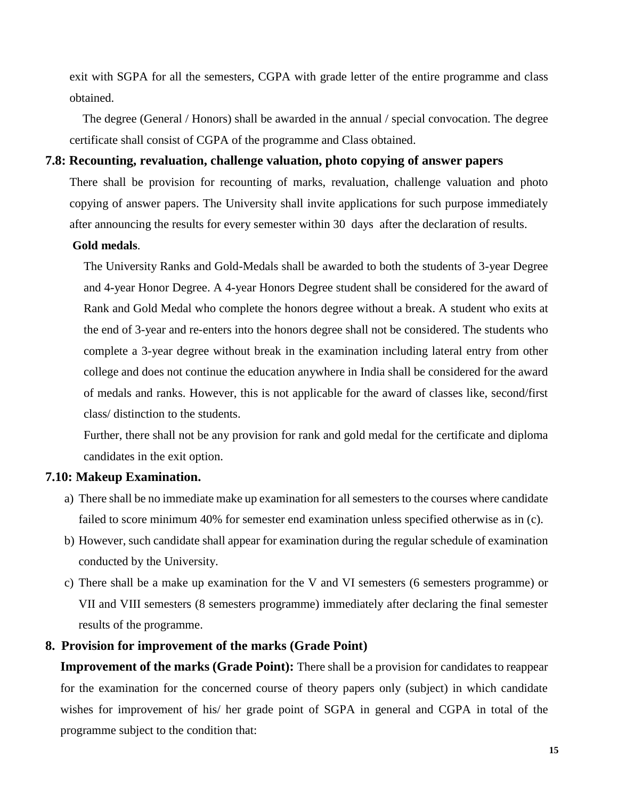exit with SGPA for all the semesters, CGPA with grade letter of the entire programme and class obtained.

The degree (General / Honors) shall be awarded in the annual / special convocation. The degree certificate shall consist of CGPA of the programme and Class obtained.

#### **7.8: Recounting, revaluation, challenge valuation, photo copying of answer papers**

There shall be provision for recounting of marks, revaluation, challenge valuation and photo copying of answer papers. The University shall invite applications for such purpose immediately after announcing the results for every semester within 30 days after the declaration of results.

#### **Gold medals**.

The University Ranks and Gold-Medals shall be awarded to both the students of 3-year Degree and 4-year Honor Degree. A 4-year Honors Degree student shall be considered for the award of Rank and Gold Medal who complete the honors degree without a break. A student who exits at the end of 3-year and re-enters into the honors degree shall not be considered. The students who complete a 3-year degree without break in the examination including lateral entry from other college and does not continue the education anywhere in India shall be considered for the award of medals and ranks. However, this is not applicable for the award of classes like, second/first class/ distinction to the students.

Further, there shall not be any provision for rank and gold medal for the certificate and diploma candidates in the exit option.

## **7.10: Makeup Examination.**

- a) There shall be no immediate make up examination for all semesters to the courses where candidate failed to score minimum 40% for semester end examination unless specified otherwise as in (c).
- b) However, such candidate shall appear for examination during the regular schedule of examination conducted by the University.
- c) There shall be a make up examination for the V and VI semesters (6 semesters programme) or VII and VIII semesters (8 semesters programme) immediately after declaring the final semester results of the programme.

## **8. Provision for improvement of the marks (Grade Point)**

**Improvement of the marks (Grade Point):** There shall be a provision for candidates to reappear for the examination for the concerned course of theory papers only (subject) in which candidate wishes for improvement of his/ her grade point of SGPA in general and CGPA in total of the programme subject to the condition that: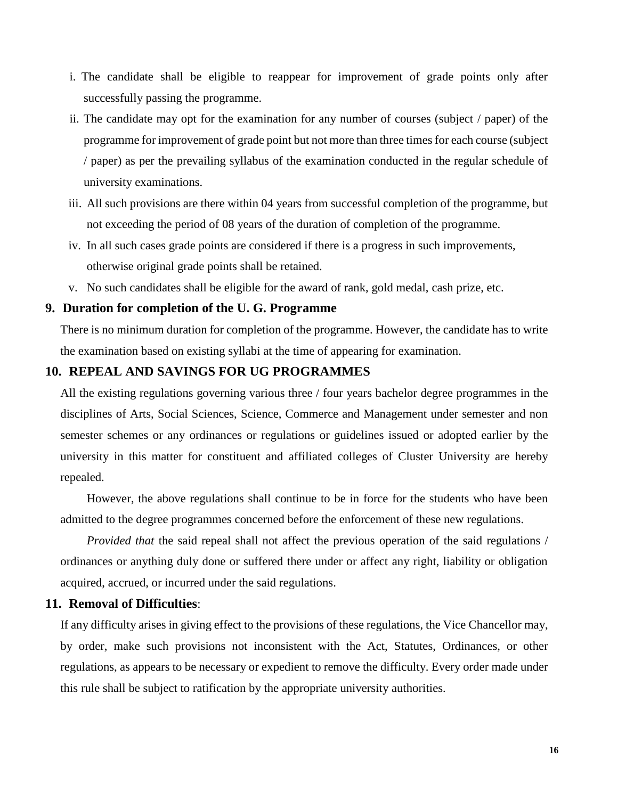- i. The candidate shall be eligible to reappear for improvement of grade points only after successfully passing the programme.
- ii. The candidate may opt for the examination for any number of courses (subject / paper) of the programme for improvement of grade point but not more than three times for each course (subject / paper) as per the prevailing syllabus of the examination conducted in the regular schedule of university examinations.
- iii. All such provisions are there within 04 years from successful completion of the programme, but not exceeding the period of 08 years of the duration of completion of the programme.
- iv. In all such cases grade points are considered if there is a progress in such improvements, otherwise original grade points shall be retained.
- v. No such candidates shall be eligible for the award of rank, gold medal, cash prize, etc.

#### **9. Duration for completion of the U. G. Programme**

There is no minimum duration for completion of the programme. However, the candidate has to write the examination based on existing syllabi at the time of appearing for examination.

#### **10. REPEAL AND SAVINGS FOR UG PROGRAMMES**

All the existing regulations governing various three / four years bachelor degree programmes in the disciplines of Arts, Social Sciences, Science, Commerce and Management under semester and non semester schemes or any ordinances or regulations or guidelines issued or adopted earlier by the university in this matter for constituent and affiliated colleges of Cluster University are hereby repealed.

However, the above regulations shall continue to be in force for the students who have been admitted to the degree programmes concerned before the enforcement of these new regulations.

*Provided that* the said repeal shall not affect the previous operation of the said regulations / ordinances or anything duly done or suffered there under or affect any right, liability or obligation acquired, accrued, or incurred under the said regulations.

#### **11. Removal of Difficulties**:

If any difficulty arises in giving effect to the provisions of these regulations, the Vice Chancellor may, by order, make such provisions not inconsistent with the Act, Statutes, Ordinances, or other regulations, as appears to be necessary or expedient to remove the difficulty. Every order made under this rule shall be subject to ratification by the appropriate university authorities.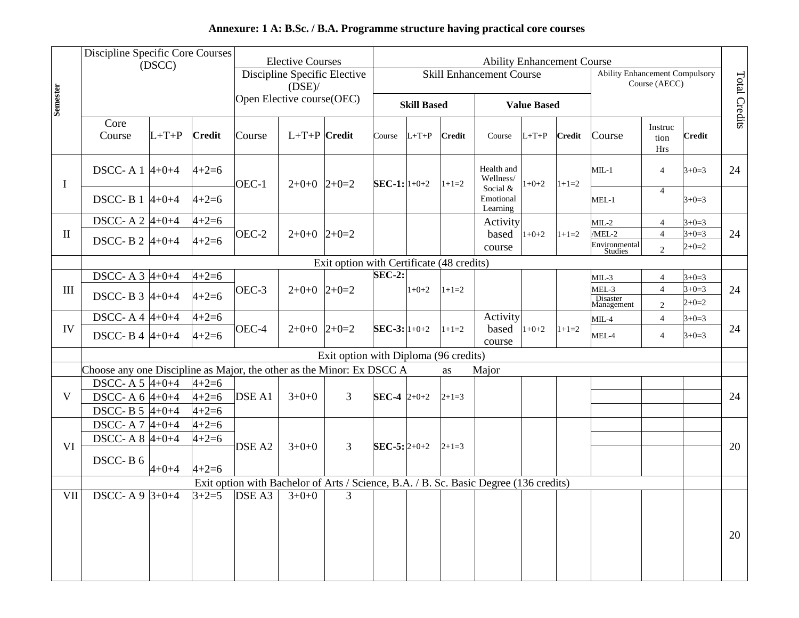# **Annexure: 1 A: B.Sc. / B.A. Programme structure having practical core courses**

| <b>Semester</b>    | Discipline Specific Core Courses                                      | (DSCC)      |               |                   | <b>Elective Courses</b><br>Discipline Specific Elective<br>$(DSE)$ /<br>Open Elective course(OEC) |                                                                                       |                      |                    |               | <b>Ability Enhancement Course</b><br>Skill Enhancement Course |                    |               | <b>Ability Enhancement Compulsory</b> | Course (AECC)          |               | Total Credits |
|--------------------|-----------------------------------------------------------------------|-------------|---------------|-------------------|---------------------------------------------------------------------------------------------------|---------------------------------------------------------------------------------------|----------------------|--------------------|---------------|---------------------------------------------------------------|--------------------|---------------|---------------------------------------|------------------------|---------------|---------------|
|                    |                                                                       |             |               |                   |                                                                                                   |                                                                                       |                      | <b>Skill Based</b> |               |                                                               | <b>Value Based</b> |               |                                       |                        |               |               |
|                    | Core<br>Course                                                        | $L+T+P$     | <b>Credit</b> | Course            | $L+T+P$ Credit                                                                                    |                                                                                       | Course               | $L+T+P$            | <b>Credit</b> | Course                                                        | $L+T+P$            | <b>Credit</b> | Course                                | Instruc<br>tion<br>Hrs | <b>Credit</b> |               |
| $\mathbf I$        | DSCC-A $1 \, 4+0+4$                                                   |             | $4 + 2 = 6$   | OEC-1             | $2+0+0$ $2+0=2$                                                                                   |                                                                                       | $SEC-1: 1+0+2$       |                    | $1+1=2$       | Health and<br>Wellness/                                       | $1+0+2$            | $1+1=2$       | $MIL-1$                               | $\overline{4}$         | $3+0=3$       | 24            |
|                    | DSCC-B 1 $ 4+0+4 $                                                    |             | $4 + 2 = 6$   |                   |                                                                                                   |                                                                                       |                      |                    |               | Social &<br>Emotional<br>Learning                             |                    |               | $MEL-1$                               | $\overline{4}$         | $3+0=3$       |               |
|                    | DSCC-A 2 $4+0+4$                                                      |             | $4 + 2 = 6$   |                   |                                                                                                   |                                                                                       |                      |                    |               | Activity                                                      |                    |               | $MIL-2$                               | $\overline{4}$         | $3+0=3$       |               |
| $\mathbf{I}$       | DSCC-B 2 $4+0+4$                                                      |             | $4 + 2 = 6$   | OEC-2             | $2+0+0$ $2+0=2$                                                                                   |                                                                                       |                      |                    |               | based                                                         | $1+0+2$            | $1+1=2$       | /MEL-2                                | $\overline{4}$         | $3+0=3$       | 24            |
|                    |                                                                       |             |               |                   |                                                                                                   |                                                                                       |                      |                    |               | course                                                        |                    |               | Environmental<br>Studies              | $\overline{2}$         | $2+0=2$       |               |
|                    |                                                                       |             |               |                   |                                                                                                   | Exit option with Certificate (48 credits)                                             |                      |                    |               |                                                               |                    |               |                                       |                        |               |               |
|                    | DSCC- A $3\;4+0+4$                                                    |             | $4 + 2 = 6$   |                   |                                                                                                   |                                                                                       | $SEC-2:$             |                    |               |                                                               |                    |               | $MIL-3$                               | $\overline{4}$         | $3+0=3$       |               |
| $\mathop{\rm III}$ | DSCC-B $3\;4+0+4$                                                     |             | $4 + 2 = 6$   | OEC-3             | $2+0+0$ 2+0=2                                                                                     |                                                                                       |                      | $1+0+2$            | $1+1=2$       |                                                               |                    |               | MEL-3                                 | $\overline{4}$         | $3+0=3$       | 24            |
|                    |                                                                       |             |               |                   |                                                                                                   |                                                                                       |                      |                    |               |                                                               |                    |               | Disaster<br>Management                | $\overline{2}$         | $2+0=2$       |               |
|                    | DSCC-A4 $4+0+4$                                                       |             | $4 + 2 = 6$   |                   |                                                                                                   |                                                                                       |                      |                    |               | Activity                                                      |                    |               | $MIL-4$                               | $\overline{4}$         | $3+0=3$       |               |
| IV                 | DSCC-B4 $4+0+4$                                                       |             | $4 + 2 = 6$   | OEC-4             | $2+0+0$ $2+0=2$                                                                                   |                                                                                       | SEC-3: $1+0+2$       |                    | $1+1=2$       | based $ 1+0+2 $<br>course                                     |                    | $1+1=2$       | MEL-4                                 | $\overline{4}$         | $3+0=3$       | 24            |
|                    |                                                                       |             |               |                   |                                                                                                   | Exit option with Diploma (96 credits)                                                 |                      |                    |               |                                                               |                    |               |                                       |                        |               |               |
|                    | Choose any one Discipline as Major, the other as the Minor: Ex DSCC A |             |               |                   |                                                                                                   |                                                                                       |                      |                    | as            | Major                                                         |                    |               |                                       |                        |               |               |
|                    | DSCC-A 5 $4+0+4$                                                      |             | $4 + 2 = 6$   |                   |                                                                                                   |                                                                                       |                      |                    |               |                                                               |                    |               |                                       |                        |               |               |
| V                  | DSCC-A $6\,4+0+4$                                                     |             | $4 + 2 = 6$   | DSE A1            | $3+0+0$                                                                                           | 3                                                                                     | <b>SEC-4</b> $2+0+2$ |                    | $2+1=3$       |                                                               |                    |               |                                       |                        |               | 24            |
|                    | DSCC-B $5\;4+0+4$                                                     |             | $4 + 2 = 6$   |                   |                                                                                                   |                                                                                       |                      |                    |               |                                                               |                    |               |                                       |                        |               |               |
|                    | DSCC-A7 4+0+4                                                         |             | $4 + 2 = 6$   |                   |                                                                                                   |                                                                                       |                      |                    |               |                                                               |                    |               |                                       |                        |               |               |
| VI                 | DSCC- A $8\,4+0+4$                                                    |             | $4 + 2 = 6$   | DSE <sub>A2</sub> | $3+0+0$                                                                                           | 3                                                                                     | SEC-5: $2+0+2$       |                    | $2+1=3$       |                                                               |                    |               |                                       |                        |               | 20            |
|                    | DSCC-B6                                                               |             |               |                   |                                                                                                   |                                                                                       |                      |                    |               |                                                               |                    |               |                                       |                        |               |               |
|                    |                                                                       | $4 + 0 + 4$ | $4 + 2 = 6$   |                   |                                                                                                   |                                                                                       |                      |                    |               |                                                               |                    |               |                                       |                        |               |               |
|                    |                                                                       |             |               |                   |                                                                                                   | Exit option with Bachelor of Arts / Science, B.A. / B. Sc. Basic Degree (136 credits) |                      |                    |               |                                                               |                    |               |                                       |                        |               |               |
| VII <sup></sup>    | DSCC-A 9 $3+0+4$                                                      |             |               |                   | $3+2=5$ DSE A3 $3+0+0$                                                                            | 3                                                                                     |                      |                    |               |                                                               |                    |               |                                       |                        |               |               |
|                    |                                                                       |             |               |                   |                                                                                                   |                                                                                       |                      |                    |               |                                                               |                    |               |                                       |                        |               |               |
|                    |                                                                       |             |               |                   |                                                                                                   |                                                                                       |                      |                    |               |                                                               |                    |               |                                       |                        |               | 20            |
|                    |                                                                       |             |               |                   |                                                                                                   |                                                                                       |                      |                    |               |                                                               |                    |               |                                       |                        |               |               |
|                    |                                                                       |             |               |                   |                                                                                                   |                                                                                       |                      |                    |               |                                                               |                    |               |                                       |                        |               |               |
|                    |                                                                       |             |               |                   |                                                                                                   |                                                                                       |                      |                    |               |                                                               |                    |               |                                       |                        |               |               |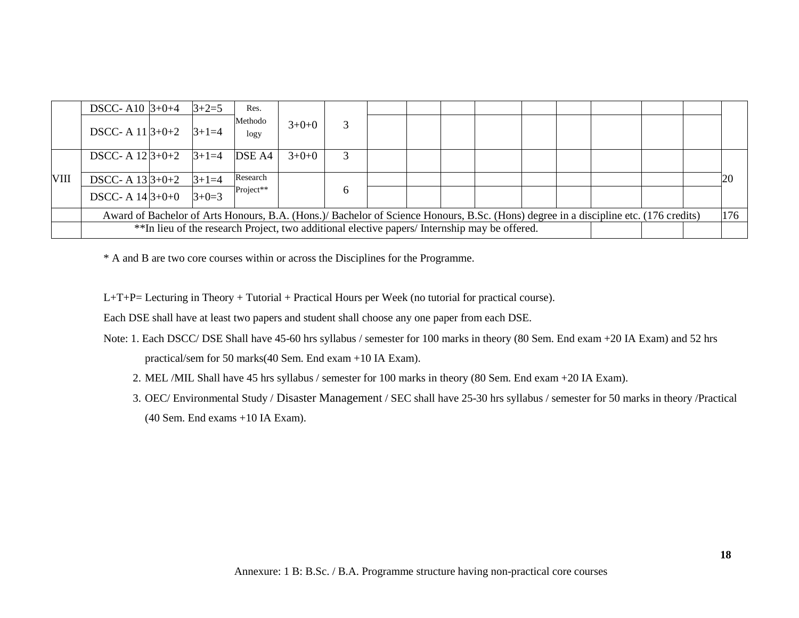|      | DSCC-A <sub>10</sub> $3+0+4$ |                                                                                                                                             | $3 + 2 = 5$ | Res.            |         |   |  |  |  |                                                                                               |  |  |  |               |
|------|------------------------------|---------------------------------------------------------------------------------------------------------------------------------------------|-------------|-----------------|---------|---|--|--|--|-----------------------------------------------------------------------------------------------|--|--|--|---------------|
|      | DSCC- A $11 3+0+2$           |                                                                                                                                             | $3+1=4$     | Methodo<br>logy | $3+0+0$ |   |  |  |  |                                                                                               |  |  |  |               |
|      | DSCC- A $12 3+0+2$ $ 3+1=4$  |                                                                                                                                             |             | DSE A4          | $3+0+0$ | 3 |  |  |  |                                                                                               |  |  |  |               |
| VIII | DSCC- A $13 3+0+2$           |                                                                                                                                             | $3+1=4$     | Research        |         |   |  |  |  |                                                                                               |  |  |  | <sup>20</sup> |
|      | DSCC- A $14 3+0+0$           |                                                                                                                                             | $3+0=3$     | $Project**$     |         | 6 |  |  |  |                                                                                               |  |  |  |               |
|      |                              | 176<br>Award of Bachelor of Arts Honours, B.A. (Hons.)/ Bachelor of Science Honours, B.Sc. (Hons) degree in a discipline etc. (176 credits) |             |                 |         |   |  |  |  |                                                                                               |  |  |  |               |
|      |                              |                                                                                                                                             |             |                 |         |   |  |  |  | **In lieu of the research Project, two additional elective papers/ Internship may be offered. |  |  |  |               |

\* A and B are two core courses within or across the Disciplines for the Programme.

L+T+P= Lecturing in Theory + Tutorial + Practical Hours per Week (no tutorial for practical course).

Each DSE shall have at least two papers and student shall choose any one paper from each DSE.

- Note: 1. Each DSCC/ DSE Shall have 45-60 hrs syllabus / semester for 100 marks in theory (80 Sem. End exam +20 IA Exam) and 52 hrs practical/sem for 50 marks(40 Sem. End exam +10 IA Exam).
	- 2. MEL /MIL Shall have 45 hrs syllabus / semester for 100 marks in theory (80 Sem. End exam +20 IA Exam).
	- 3. OEC/ Environmental Study / Disaster Management / SEC shall have 25-30 hrs syllabus / semester for 50 marks in theory /Practical (40 Sem. End exams +10 IA Exam).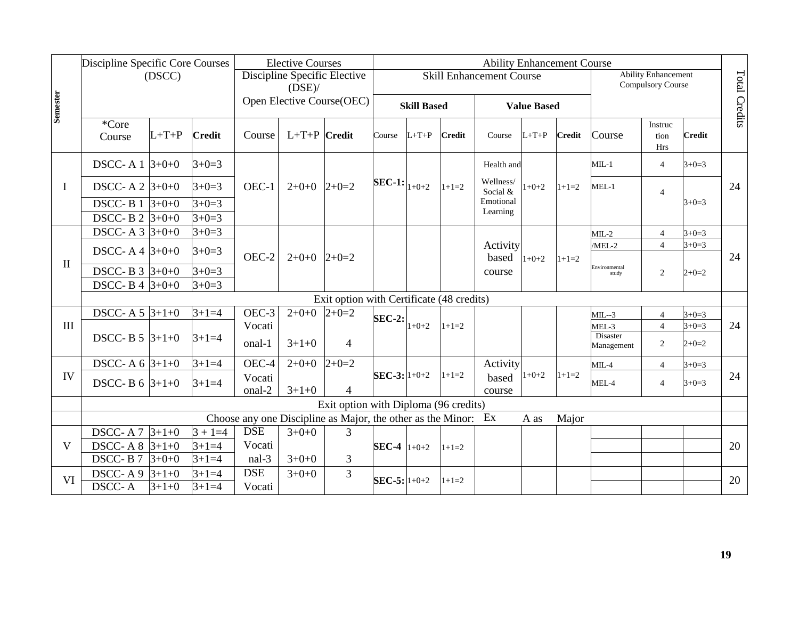|                 | Discipline Specific Core Courses      |         |                            |                      | <b>Elective Courses</b><br>Discipline Specific Elective |                                                                |                           |                    |               | <b>Ability Enhancement Course</b> |                    |               |                                 |                                                        |                    |                      |
|-----------------|---------------------------------------|---------|----------------------------|----------------------|---------------------------------------------------------|----------------------------------------------------------------|---------------------------|--------------------|---------------|-----------------------------------|--------------------|---------------|---------------------------------|--------------------------------------------------------|--------------------|----------------------|
|                 |                                       | (DSCC)  |                            |                      | $(DSE)$ /                                               |                                                                |                           |                    |               | <b>Skill Enhancement Course</b>   |                    |               |                                 | <b>Ability Enhancement</b><br><b>Compulsory Course</b> |                    | <b>Total Credits</b> |
| <b>Semester</b> |                                       |         |                            |                      |                                                         | Open Elective Course(OEC)                                      |                           | <b>Skill Based</b> |               |                                   | <b>Value Based</b> |               |                                 |                                                        |                    |                      |
|                 | *Core<br>Course                       | $L+T+P$ | <b>Credit</b>              | Course               | $L+T+P$ Credit                                          |                                                                | Course                    | $L+T+P$            | <b>Credit</b> | Course                            | $L+T+P$            | <b>Credit</b> | Course                          | Instruc<br>tion<br>Hrs                                 | <b>Credit</b>      |                      |
|                 | DSCC-A $1 \overline{3} + 0 + 0$       |         | $3+0=3$                    |                      |                                                         |                                                                |                           |                    |               | Health and                        |                    |               | $MIL-1$                         | $\overline{4}$                                         | $3+0=3$            |                      |
| $\bf{I}$        | DSCC- A 2 $3+0+0$                     |         | $3+0=3$                    | OEC-1                | $2+0+0$ $2+0=2$                                         |                                                                | <b>SEC-1:</b> $ _{1+0+2}$ |                    | $1+1=2$       | Wellness/<br>Social &             | $1+0+2$            | $1+1=2$       | $MEL-1$                         | $\overline{4}$                                         |                    | 24                   |
|                 | DSCC-B $1 \, 3+0+0$<br>DSCC-B 2 3+0+0 |         | $3+0=3$<br>$3+0=3$         |                      |                                                         |                                                                |                           |                    |               | Emotional<br>Learning             |                    |               |                                 |                                                        | $3+0=3$            |                      |
|                 | DSCC-A $3 \frac{3+0+0}{2}$            |         | $3+0=3$                    |                      |                                                         |                                                                |                           |                    |               |                                   |                    |               | $MIL-2$                         | $\overline{4}$                                         | $3+0=3$            |                      |
|                 | DSCC-A4 $ 3+0+0 $                     |         | $3+0=3$                    |                      |                                                         |                                                                |                           |                    |               | Activity                          |                    |               | /MEL-2                          | $\overline{4}$                                         | $3+0=3$            |                      |
| $\mathbf{I}$    | DSCC-B $3 \frac{1}{3} + 0 + 0$        |         | $3+0=3$                    | OEC-2                | $2+0+0$ $2+0=2$                                         |                                                                |                           |                    |               | based<br>course                   | $1+0+2$            | $1+1=2$       | Environmental<br>study          | 2                                                      | $2+0=2$            | 24                   |
|                 | DSCC-B 4 $3+0+0$                      |         | $3+0=3$                    |                      |                                                         |                                                                |                           |                    |               |                                   |                    |               |                                 |                                                        |                    |                      |
|                 |                                       |         |                            |                      |                                                         | Exit option with Certificate (48 credits)                      |                           |                    |               |                                   |                    |               |                                 |                                                        |                    |                      |
|                 | DSCC- A 5 $3+1+0$                     |         | $3+1=4$                    | OEC-3                | $2+0+0$                                                 | $2+0=2$                                                        | <b>SEC-2:</b>             |                    |               |                                   |                    |               | $MIL - 3$                       | $\overline{4}$                                         | $3+0=3$            |                      |
| $\mathbf{III}$  | DSCC-B $5 \frac{3+1+0}{2}$            |         | $3 + 1 = 4$                | Vocati<br>onal-1     | $3+1+0$                                                 | 4                                                              |                           | $1+0+2$            | $1+1=2$       |                                   |                    |               | MEL-3<br>Disaster<br>Management | $\overline{4}$<br>$\overline{2}$                       | $3+0=3$<br>$2+0=2$ | 24                   |
|                 | DSCC-A $6 \frac{3+1+0}{2}$            |         | $3+1=4$                    | OEC-4                | $2+0+0$                                                 | $2+0=2$                                                        |                           |                    |               | Activity                          |                    |               | $MIL-4$                         | $\overline{4}$                                         | $3+0=3$            |                      |
| IV              | DSCC-B $6 \frac{3+1+0}{2}$            |         | $3+1=4$                    | Vocati<br>onal-2     | $3+1+0$                                                 | $\overline{4}$                                                 | SEC-3: $1+0+2$            |                    | $1+1=2$       | based<br>course                   | $1+0+2$            | $1+1=2$       | MEL-4                           | $\overline{4}$                                         | $3+0=3$            | 24                   |
|                 |                                       |         |                            |                      |                                                         | Exit option with Diploma (96 credits)                          |                           |                    |               |                                   |                    |               |                                 |                                                        |                    |                      |
|                 |                                       |         |                            |                      |                                                         | Choose any one Discipline as Major, the other as the Minor: Ex |                           |                    |               |                                   | A as               | Major         |                                 |                                                        |                    |                      |
|                 | DSCC-A7 3+1+0                         |         | $3 + 1 = 4$                | <b>DSE</b>           | $3+0+0$                                                 | $\overline{3}$                                                 |                           |                    |               |                                   |                    |               |                                 |                                                        |                    |                      |
| V               | DSCC-A8 $ 3+1+0 $                     |         | $3+1=4$                    | Vocati               |                                                         |                                                                | <b>SEC-4</b> $1+0+2$      |                    | $1+1=2$       |                                   |                    |               |                                 |                                                        |                    | 20                   |
|                 | DSCC-B7                               | $3+0+0$ | $3+1=4$                    | nal-3                | $3+0+0$                                                 | 3                                                              |                           |                    |               |                                   |                    |               |                                 |                                                        |                    |                      |
| <b>VI</b>       | DSCC-A9 $ 3+1+0$<br><b>DSCC-A</b>     | $3+1+0$ | $3 + 1 = 4$<br>$3 + 1 = 4$ | <b>DSE</b><br>Vocati | $3+0+0$                                                 | $\overline{3}$                                                 | $SEC-5:  1+0+2 $          |                    | $1+1=2$       |                                   |                    |               |                                 |                                                        |                    | 20                   |

10

o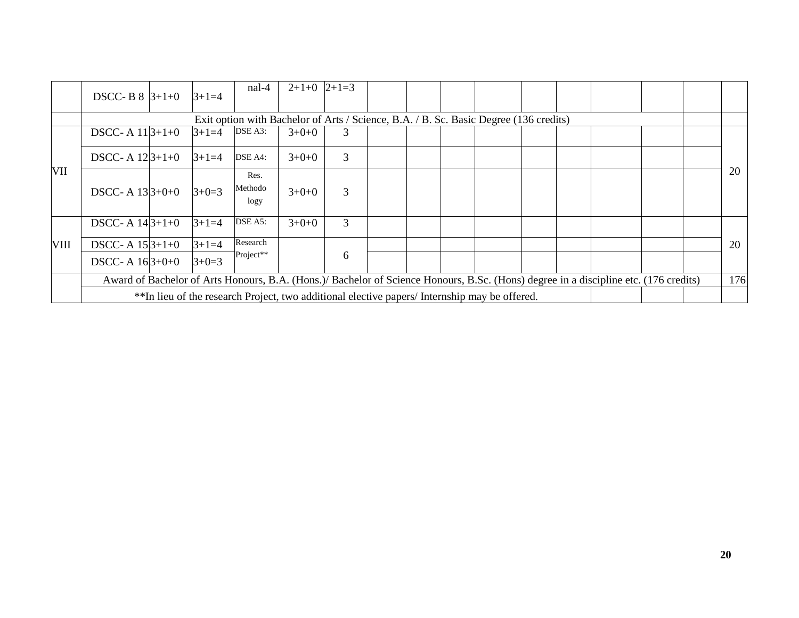|             | <b>DSCC-B 8</b> $ 3+1+0 $                       |  | $3+1=4$ | nal-4                                                                                         | $2+1+0$ $ 2+1=3$ |   |  |  |  |  |  |  |                                                                                                                                      |  |     |
|-------------|-------------------------------------------------|--|---------|-----------------------------------------------------------------------------------------------|------------------|---|--|--|--|--|--|--|--------------------------------------------------------------------------------------------------------------------------------------|--|-----|
|             |                                                 |  |         | Exit option with Bachelor of Arts / Science, B.A. / B. Sc. Basic Degree (136 credits)         |                  |   |  |  |  |  |  |  |                                                                                                                                      |  |     |
|             | DSCC-A $11 3+1+0$                               |  | $3+1=4$ | DSE A3:                                                                                       | $3+0+0$          | 3 |  |  |  |  |  |  |                                                                                                                                      |  |     |
|             | DSCC- A $12 3+1+0$                              |  | $3+1=4$ | DSE A4:                                                                                       | $3+0+0$          | 3 |  |  |  |  |  |  |                                                                                                                                      |  |     |
| VII         | DSCC- A $13 3+0+0$                              |  | $3+0=3$ | Res.<br>Methodo<br>logy                                                                       | $3+0+0$          | 3 |  |  |  |  |  |  |                                                                                                                                      |  | 20  |
|             | DSCC- A $14 3+1+0$                              |  | $3+1=4$ | DSE A5:                                                                                       | $3+0+0$          | 3 |  |  |  |  |  |  |                                                                                                                                      |  |     |
| <b>VIII</b> | DSCC- A $15 3+1+0$                              |  | $3+1=4$ | Research                                                                                      |                  |   |  |  |  |  |  |  |                                                                                                                                      |  | 20  |
|             | Project**<br>6<br>$3+0=3$<br>DSCC- A $16 3+0+0$ |  |         |                                                                                               |                  |   |  |  |  |  |  |  |                                                                                                                                      |  |     |
|             |                                                 |  |         |                                                                                               |                  |   |  |  |  |  |  |  | Award of Bachelor of Arts Honours, B.A. (Hons.)/ Bachelor of Science Honours, B.Sc. (Hons) degree in a discipline etc. (176 credits) |  | 176 |
|             |                                                 |  |         | **In lieu of the research Project, two additional elective papers/ Internship may be offered. |                  |   |  |  |  |  |  |  |                                                                                                                                      |  |     |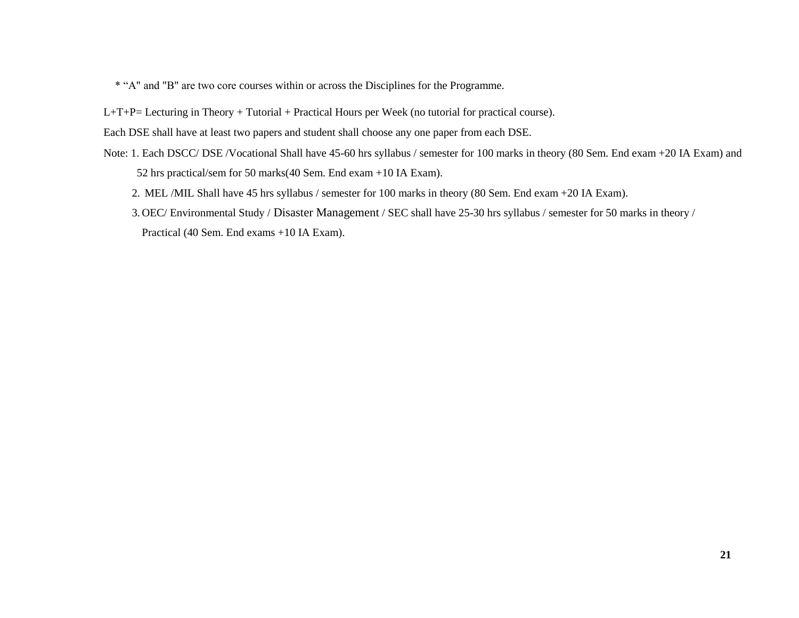\* "A" and "B" are two core courses within or across the Disciplines for the Programme.

L+T+P= Lecturing in Theory + Tutorial + Practical Hours per Week (no tutorial for practical course).

Each DSE shall have at least two papers and student shall choose any one paper from each DSE.

- Note: 1. Each DSCC/ DSE /Vocational Shall have 45-60 hrs syllabus / semester for 100 marks in theory (80 Sem. End exam +20 IA Exam) and 52 hrs practical/sem for 50 marks(40 Sem. End exam +10 IA Exam).
	- 2. MEL /MIL Shall have 45 hrs syllabus / semester for 100 marks in theory (80 Sem. End exam +20 IA Exam).
	- 3. OEC/ Environmental Study / Disaster Management / SEC shall have 25-30 hrs syllabus / semester for 50 marks in theory / Practical (40 Sem. End exams +10 IA Exam).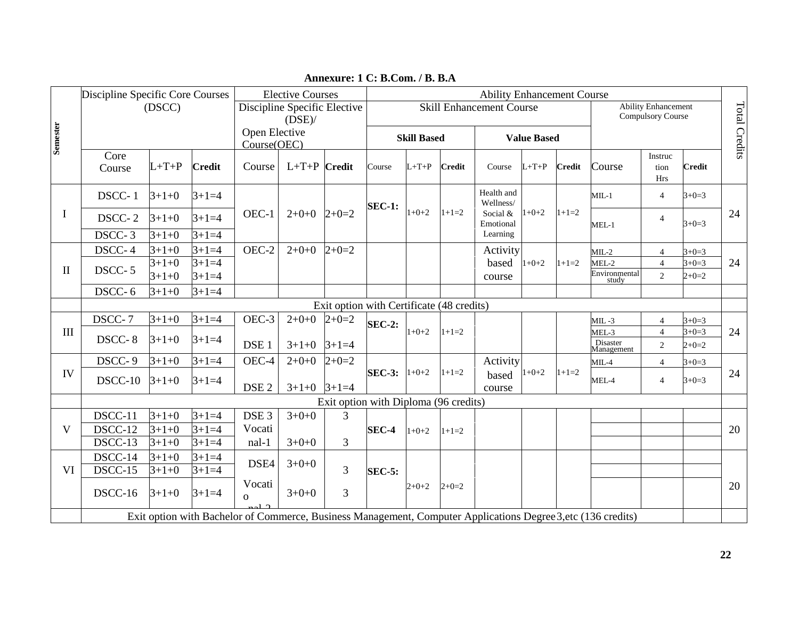|              | Discipline Specific Core Courses |                    |                    | <b>Elective Courses</b><br>Discipline Specific Elective |                    |                                           |               |                    |               | <b>Ability Enhancement Course</b> |                    |               |                                                                                                               |                                                 |                    |               |
|--------------|----------------------------------|--------------------|--------------------|---------------------------------------------------------|--------------------|-------------------------------------------|---------------|--------------------|---------------|-----------------------------------|--------------------|---------------|---------------------------------------------------------------------------------------------------------------|-------------------------------------------------|--------------------|---------------|
|              |                                  | (DSCC)             |                    |                                                         |                    |                                           |               |                    |               | <b>Skill Enhancement Course</b>   |                    |               |                                                                                                               | <b>Ability Enhancement</b><br>Compulsory Course |                    | Total Credits |
|              |                                  |                    |                    | Open Elective                                           | $(DSE)$ /          |                                           |               |                    |               |                                   |                    |               |                                                                                                               |                                                 |                    |               |
| Semester     |                                  |                    |                    | Course(OEC)                                             |                    |                                           |               | <b>Skill Based</b> |               |                                   | <b>Value Based</b> |               |                                                                                                               |                                                 |                    |               |
|              | Core                             | $L+T+P$            | <b>Credit</b>      | Course                                                  | $L+T+P$            | <b>Credit</b>                             | Course        | $L+T+P$            | <b>Credit</b> | Course                            | $L+T+P$            | <b>Credit</b> | Course                                                                                                        | Instruc<br>tion                                 | <b>Credit</b>      |               |
|              | Course                           |                    |                    |                                                         |                    |                                           |               |                    |               |                                   |                    |               |                                                                                                               | <b>Hrs</b>                                      |                    |               |
|              | DSCC-1                           | $3+1+0$            | $3+1=4$            |                                                         |                    |                                           | <b>SEC-1:</b> |                    |               | Health and<br>Wellness/           |                    |               | $MIL-1$                                                                                                       | $\overline{4}$                                  | $3+0=3$            |               |
| I            | DSCC-2                           | $3+1+0$            | $3 + 1 = 4$        | OEC-1                                                   | $2+0+0$            | $2+0=2$                                   |               | $1+0+2$            | $1+1=2$       | Social &<br>Emotional             | $1+0+2$            | $1+1=2$       | $MEL-1$                                                                                                       | $\overline{4}$                                  | $3+0=3$            | 24            |
|              | $DSCC-3$                         | $3+1+0$            | $3+1=4$            |                                                         |                    |                                           |               |                    |               | Learning                          |                    |               |                                                                                                               |                                                 |                    |               |
|              | DSCC-4                           | $3+1+0$            | $3+1=4$            | OEC-2                                                   | $2+0+0$            | $2+0=2$                                   |               |                    |               | Activity                          |                    |               | $MIL-2$                                                                                                       | $\overline{4}$                                  | $3+0=3$            |               |
| $\mathbf{I}$ | DSCC-5                           | $3+1+0$<br>$3+1+0$ | $3+1=4$<br>$3+1=4$ |                                                         |                    |                                           |               |                    |               | based<br>course                   | $1+0+2$            | $1+1=2$       | MEL-2<br>Environmental<br>study                                                                               | $\overline{4}$<br>$\overline{2}$                | $3+0=3$<br>$2+0=2$ | 24            |
|              | DSCC-6                           | $3+1+0$            | $3+1=4$            |                                                         |                    |                                           |               |                    |               |                                   |                    |               |                                                                                                               |                                                 |                    |               |
|              |                                  |                    |                    |                                                         |                    | Exit option with Certificate (48 credits) |               |                    |               |                                   |                    |               |                                                                                                               |                                                 |                    |               |
|              | DSCC-7                           | $3+1+0$            | $3+1=4$            | OEC-3                                                   | $2+0+0$            | $2+0=2$                                   | <b>SEC-2:</b> |                    |               |                                   |                    |               | $MIL -3$                                                                                                      | $\overline{4}$                                  | $3+0=3$            |               |
| III          | DSCC-8                           | $3+1+0$            | $3+1=4$            |                                                         |                    |                                           |               | $1+0+2$            | $1+1=2$       |                                   |                    |               | MEL-3<br>Disaster                                                                                             | $\overline{4}$                                  | $3+0=3$            | 24            |
|              | DSCC-9                           | $3+1+0$            | $3+1=4$            | DSE <sub>1</sub><br>OEC-4                               | $3+1+0$<br>$2+0+0$ | $3+1=4$<br>$2+0=2$                        |               |                    |               | Activity                          |                    |               | Management                                                                                                    | $\sqrt{2}$                                      | $2+0=2$            |               |
| IV           |                                  |                    |                    |                                                         |                    |                                           | $SEC-3:$      | $1+0+2$            | $1+1=2$       | based                             | $1+0+2$            | $1+1=2$       | $MIL-4$                                                                                                       | 4                                               | $3+0=3$            | 24            |
|              | DSCC-10                          | $3+1+0$            | $3 + 1 = 4$        | DSE <sub>2</sub>                                        | $3+1+0$ $3+1=4$    |                                           |               |                    |               | course                            |                    |               | MEL-4                                                                                                         | $\overline{4}$                                  | $3+0=3$            |               |
|              |                                  |                    |                    |                                                         |                    | Exit option with Diploma (96 credits)     |               |                    |               |                                   |                    |               |                                                                                                               |                                                 |                    |               |
|              | DSCC-11                          | $3+1+0$            | $3 + 1 = 4$        | DSE <sub>3</sub>                                        | $3+0+0$            | $\overline{3}$                            |               |                    |               |                                   |                    |               |                                                                                                               |                                                 |                    |               |
| V            | DSCC-12                          | $3+1+0$            | $3+1=4$            | Vocati                                                  |                    |                                           | SEC-4         | $1+0+2$            | $1+1=2$       |                                   |                    |               |                                                                                                               |                                                 |                    | 20            |
|              | $DSCC-13$                        | $3+1+0$            | $3+1=4$            | nal-1                                                   | $3+0+0$            | 3                                         |               |                    |               |                                   |                    |               |                                                                                                               |                                                 |                    |               |
| VI           | DSCC-14<br>DSCC-15               | $3+1+0$            | $3+1=4$<br>$3+1=4$ | DSE4                                                    | $3+0+0$            | 3                                         |               |                    |               |                                   |                    |               |                                                                                                               |                                                 |                    |               |
|              |                                  | $3+1+0$            |                    | Vocati                                                  |                    |                                           | <b>SEC-5:</b> |                    |               |                                   |                    |               |                                                                                                               |                                                 |                    |               |
|              | DSCC-16                          | $3+1+0$            | $3 + 1 = 4$        | $\Omega$                                                | $3+0+0$            | 3                                         |               | $2+0+2$            | $2+0=2$       |                                   |                    |               |                                                                                                               |                                                 |                    | 20            |
|              |                                  |                    |                    |                                                         |                    |                                           |               |                    |               |                                   |                    |               | Exit option with Bachelor of Commerce, Business Management, Computer Applications Degree 3, etc (136 credits) |                                                 |                    |               |

**Annexure: 1 C: B.Com. / B. B.A**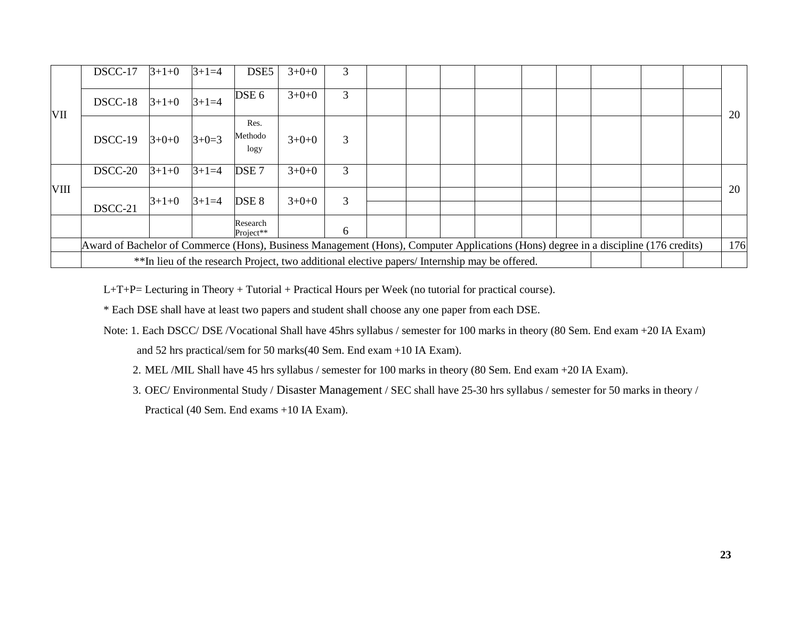|      | DSCC-17                                                                                                                                    | $3+1+0$ | $3+1=4$     | DSE <sub>5</sub>        | $3+0+0$                                                                                       | 3 |  |  |  |  |  |  |  |    |
|------|--------------------------------------------------------------------------------------------------------------------------------------------|---------|-------------|-------------------------|-----------------------------------------------------------------------------------------------|---|--|--|--|--|--|--|--|----|
| VII  | DSCC-18                                                                                                                                    | $3+1+0$ | $3 + 1 = 4$ | DSE 6                   | $3+0+0$                                                                                       | 3 |  |  |  |  |  |  |  | 20 |
|      | $DSCC-19$                                                                                                                                  | $3+0+0$ | $3+0=3$     | Res.<br>Methodo<br>logy | $3+0+0$                                                                                       | 3 |  |  |  |  |  |  |  |    |
|      | DSCC-20                                                                                                                                    | $3+1+0$ | $3+1=4$     | DSE <sub>7</sub>        | $3+0+0$                                                                                       | 3 |  |  |  |  |  |  |  |    |
| VIII | DSCC-21                                                                                                                                    | $3+1+0$ | $3+1=4$     | DSE <sub>8</sub>        | $3+0+0$                                                                                       | 3 |  |  |  |  |  |  |  | 20 |
|      |                                                                                                                                            |         |             | Research<br>Project**   |                                                                                               | 6 |  |  |  |  |  |  |  |    |
|      | 176<br>Award of Bachelor of Commerce (Hons), Business Management (Hons), Computer Applications (Hons) degree in a discipline (176 credits) |         |             |                         |                                                                                               |   |  |  |  |  |  |  |  |    |
|      |                                                                                                                                            |         |             |                         | **In lieu of the research Project, two additional elective papers/ Internship may be offered. |   |  |  |  |  |  |  |  |    |

L+T+P= Lecturing in Theory + Tutorial + Practical Hours per Week (no tutorial for practical course).

\* Each DSE shall have at least two papers and student shall choose any one paper from each DSE.

- Note: 1. Each DSCC/ DSE /Vocational Shall have 45hrs syllabus / semester for 100 marks in theory (80 Sem. End exam +20 IA Exam) and 52 hrs practical/sem for 50 marks(40 Sem. End exam +10 IA Exam).
	- 2. MEL /MIL Shall have 45 hrs syllabus / semester for 100 marks in theory (80 Sem. End exam +20 IA Exam).
	- 3. OEC/ Environmental Study / Disaster Management / SEC shall have 25-30 hrs syllabus / semester for 50 marks in theory / Practical (40 Sem. End exams +10 IA Exam).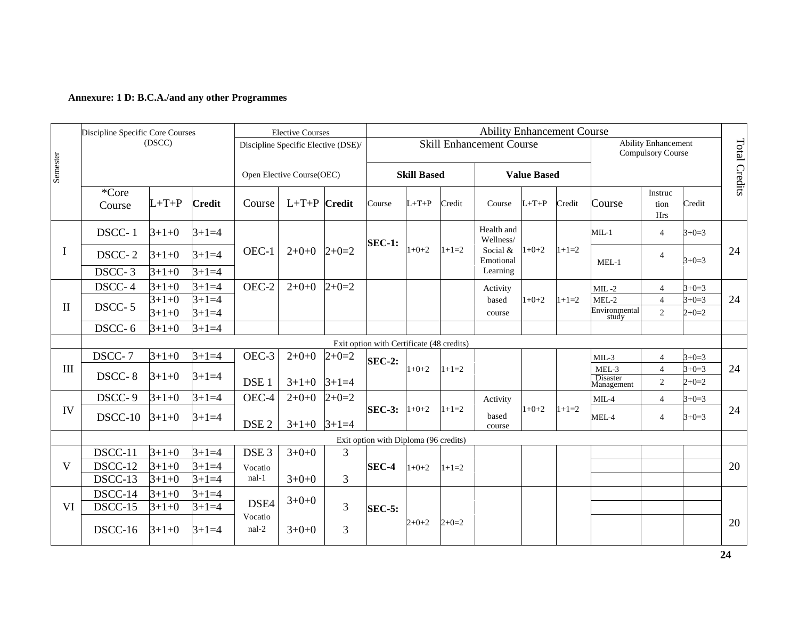#### **Annexure: 1 D: B.C.A./and any other Programmes**

|                                  | Discipline Specific Core Courses |                    |                    |                  | <b>Elective Courses</b>             |                |                                           |                    |         | <b>Ability Enhancement Course</b> |                    |         |                                   |                                                        |                    |               |
|----------------------------------|----------------------------------|--------------------|--------------------|------------------|-------------------------------------|----------------|-------------------------------------------|--------------------|---------|-----------------------------------|--------------------|---------|-----------------------------------|--------------------------------------------------------|--------------------|---------------|
|                                  |                                  | (DSCC)             |                    |                  | Discipline Specific Elective (DSE)/ |                |                                           |                    |         | <b>Skill Enhancement Course</b>   |                    |         |                                   | <b>Ability Enhancement</b><br><b>Compulsory Course</b> |                    | Total Credits |
| Semester                         |                                  |                    |                    |                  | Open Elective Course(OEC)           |                |                                           | <b>Skill Based</b> |         |                                   | <b>Value Based</b> |         |                                   |                                                        |                    |               |
|                                  | *Core<br>Course                  | $L+T+P$            | <b>Credit</b>      | Course           | $L+T+P$ Credit                      |                | Course                                    | $L+T+P$            | Credit  | Course                            | $L+T+P$            | Credit  | Course                            | Instruc<br>tion<br>Hrs                                 | Credit             |               |
|                                  | DSCC-1                           | $3+1+0$            | $3+1=4$            |                  |                                     |                | <b>SEC-1:</b>                             |                    |         | Health and<br>Wellness/           |                    |         | $ML-1$                            | $\overline{4}$                                         | $3+0=3$            |               |
| $\mathbf I$                      | DSCC-2                           | $3+1+0$            | $3+1=4$            | OEC-1            | $2+0+0$                             | $2+0=2$        |                                           | $1+0+2$            | $1+1=2$ | Social &<br>Emotional             | $1+0+2$            | $1+1=2$ | $MEL-1$                           | $\overline{4}$                                         | $3+0=3$            | 24            |
|                                  | $DSCC-3$                         | $3+1+0$            | $3+1=4$            |                  |                                     |                |                                           |                    |         | Learning                          |                    |         |                                   |                                                        |                    |               |
|                                  | DSCC-4                           | $3+1+0$<br>$3+1+0$ | $3+1=4$<br>$3+1=4$ | OEC-2            | $2+0+0$                             | $2+0=2$        |                                           |                    |         | Activity<br>based                 | $1+0+2$            | $1+1=2$ | $MIL -2$<br>$MEL-2$               | $\overline{4}$<br>$\overline{4}$                       | $3+0=3$<br>$3+0=3$ | 24            |
| $\mathbf{I}$                     | DSCC-5                           | $3+1+0$            | $3+1=4$            |                  |                                     |                |                                           |                    |         | course                            |                    |         | Environmental<br>study            | 2                                                      | $2+0=2$            |               |
|                                  | DSCC-6                           | $3+1+0$            | $3+1=4$            |                  |                                     |                |                                           |                    |         |                                   |                    |         |                                   |                                                        |                    |               |
|                                  |                                  |                    |                    |                  |                                     |                | Exit option with Certificate (48 credits) |                    |         |                                   |                    |         |                                   |                                                        |                    |               |
|                                  | DSCC-7                           | $3+1+0$            | $3+1=4$            | OEC-3            | $2+0+0$                             | $2+0=2$        | <b>SEC-2:</b>                             |                    |         |                                   |                    |         | $MIL-3$                           | $\overline{4}$                                         | $3+0=3$            |               |
| $\mathop{\mathrm{III}}\nolimits$ | DSCC-8                           | $3+1+0$            | $3+1=4$            | DSE <sub>1</sub> | $3+1+0$                             | $3+1=4$        |                                           | $1+0+2$            | $1+1=2$ |                                   |                    |         | $MEL-3$<br>Disaster<br>Management | $\overline{4}$<br>$\overline{c}$                       | $3+0=3$<br>$2+0=2$ | 24            |
|                                  | DSCC-9                           | $3+1+0$            | $3+1=4$            | OEC-4            | $2+0+0$                             | $2+0=2$        |                                           |                    |         | Activity                          |                    |         | $MIL-4$                           | $\overline{4}$                                         | $3+0=3$            |               |
| IV                               | $DSCC-10$                        | $3+1+0$            | $3+1=4$            | DSE <sub>2</sub> | $3+1+0$ $3+1=4$                     |                | SEC-3: $1+0+2$                            |                    | $1+1=2$ | based<br>course                   | $1+0+2$            | $1+1=2$ | MEL-4                             | $\overline{4}$                                         | $3+0=3$            | 24            |
|                                  |                                  |                    |                    |                  |                                     |                | Exit option with Diploma (96 credits)     |                    |         |                                   |                    |         |                                   |                                                        |                    |               |
|                                  | DSCC-11                          | $3+1+0$            | $3+1=4$            | DSE <sub>3</sub> | $3+0+0$                             | 3              |                                           |                    |         |                                   |                    |         |                                   |                                                        |                    |               |
| V                                | DSCC-12                          | $3+1+0$            | $3+1=4$            | Vocatio          |                                     |                | SEC-4                                     | $1+0+2$            | $1+1=2$ |                                   |                    |         |                                   |                                                        |                    | 20            |
|                                  | DSCC-13                          | $3+1+0$            | $3+1=4$            | $nal-1$          | $3+0+0$                             | $\overline{3}$ |                                           |                    |         |                                   |                    |         |                                   |                                                        |                    |               |
|                                  | DSCC-14                          | $3+1+0$            | $3+1=4$            | DSE4             | $3+0+0$                             |                |                                           |                    |         |                                   |                    |         |                                   |                                                        |                    |               |
| VI                               | DSCC-15                          | $3+1+0$            | $3+1=4$            | Vocatio          |                                     | 3              | <b>SEC-5:</b>                             |                    |         |                                   |                    |         |                                   |                                                        |                    |               |
|                                  | DSCC-16                          | $3+1+0$            | $3+1=4$            | nal-2            | $3+0+0$                             | 3              |                                           | $2+0+2$            | $2+0=2$ |                                   |                    |         |                                   |                                                        |                    | 20            |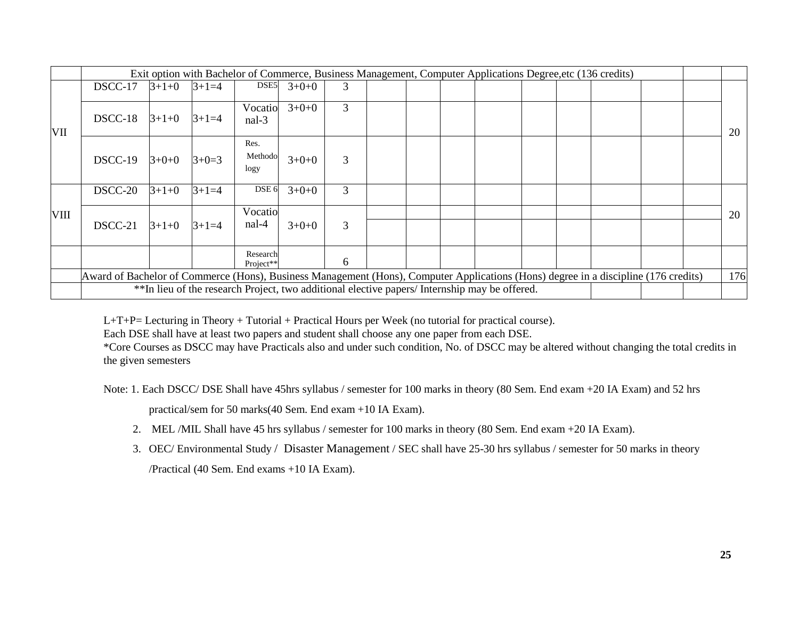|             |                                                                                                                                     |                                                               |         |                       | Exit option with Bachelor of Commerce, Business Management, Computer Applications Degree, etc (136 credits) |   |  |  |  |  |  |  |  |     |
|-------------|-------------------------------------------------------------------------------------------------------------------------------------|---------------------------------------------------------------|---------|-----------------------|-------------------------------------------------------------------------------------------------------------|---|--|--|--|--|--|--|--|-----|
|             | DSCC-17                                                                                                                             | $3+1+0$                                                       | $3+1=4$ | DSE5                  | $3+0+0$                                                                                                     | 3 |  |  |  |  |  |  |  |     |
| VII         | DSCC-18                                                                                                                             | $3+1+0$                                                       | $3+1=4$ | Vocatio<br>$nal-3$    | $3+0+0$                                                                                                     | 3 |  |  |  |  |  |  |  | 20  |
|             | $DSCC-19$                                                                                                                           | Res.<br>Methodo<br>$3+0+0$<br>3<br>$3+0=3$<br>$3+0+0$<br>logy |         |                       |                                                                                                             |   |  |  |  |  |  |  |  |     |
|             | DSCC-20                                                                                                                             | $3+1+0$                                                       | $3+1=4$ | DSE <sub>6</sub>      | $3+0+0$                                                                                                     | 3 |  |  |  |  |  |  |  |     |
| <b>VIII</b> |                                                                                                                                     |                                                               |         | Vocatio               |                                                                                                             |   |  |  |  |  |  |  |  | 20  |
|             | DSCC-21                                                                                                                             | $3+1+0$                                                       | $3+1=4$ | nal-4                 | $3+0+0$                                                                                                     | 3 |  |  |  |  |  |  |  |     |
|             |                                                                                                                                     |                                                               |         | Research<br>Project** |                                                                                                             | 6 |  |  |  |  |  |  |  |     |
|             | Award of Bachelor of Commerce (Hons), Business Management (Hons), Computer Applications (Hons) degree in a discipline (176 credits) |                                                               |         |                       |                                                                                                             |   |  |  |  |  |  |  |  | 176 |
|             |                                                                                                                                     |                                                               |         |                       | **In lieu of the research Project, two additional elective papers/ Internship may be offered.               |   |  |  |  |  |  |  |  |     |

L+T+P= Lecturing in Theory + Tutorial + Practical Hours per Week (no tutorial for practical course).

Each DSE shall have at least two papers and student shall choose any one paper from each DSE.

\*Core Courses as DSCC may have Practicals also and under such condition, No. of DSCC may be altered without changing the total credits in the given semesters

Note: 1. Each DSCC/ DSE Shall have 45hrs syllabus / semester for 100 marks in theory (80 Sem. End exam +20 IA Exam) and 52 hrs

practical/sem for 50 marks(40 Sem. End exam +10 IA Exam).

- 2. MEL /MIL Shall have 45 hrs syllabus / semester for 100 marks in theory (80 Sem. End exam +20 IA Exam).
- 3. OEC/ Environmental Study / Disaster Management / SEC shall have 25-30 hrs syllabus / semester for 50 marks in theory /Practical (40 Sem. End exams +10 IA Exam).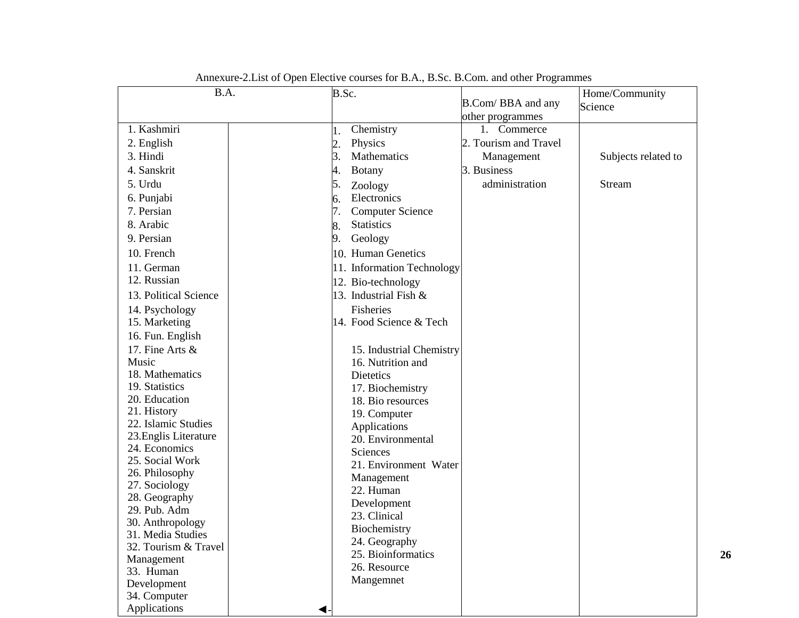| B.A.                             | B.Sc.            |                            |                       | Home/Community      |
|----------------------------------|------------------|----------------------------|-----------------------|---------------------|
|                                  |                  |                            | B.Com/BBA and any     | Science             |
|                                  |                  |                            | other programmes      |                     |
| 1. Kashmiri                      | 1.               | Chemistry                  | Commerce<br>$1_{-}$   |                     |
| 2. English                       | $\overline{2}$ . | Physics                    | 2. Tourism and Travel |                     |
| 3. Hindi                         | 3.               | Mathematics                | Management            | Subjects related to |
| 4. Sanskrit                      | 4.               | <b>Botany</b>              | 3. Business           |                     |
| 5. Urdu                          | 5.               | Zoology                    | administration        | Stream              |
| 6. Punjabi                       | 6.               | Electronics                |                       |                     |
| 7. Persian                       | 7.               | <b>Computer Science</b>    |                       |                     |
| 8. Arabic                        | 8.               | <b>Statistics</b>          |                       |                     |
| 9. Persian                       | 9.               | Geology                    |                       |                     |
| 10. French                       |                  | 10. Human Genetics         |                       |                     |
| 11. German                       |                  | 11. Information Technology |                       |                     |
| 12. Russian                      |                  | 12. Bio-technology         |                       |                     |
| 13. Political Science            |                  | 13. Industrial Fish &      |                       |                     |
| 14. Psychology                   |                  | Fisheries                  |                       |                     |
| 15. Marketing                    |                  | 14. Food Science & Tech    |                       |                     |
| 16. Fun. English                 |                  |                            |                       |                     |
| 17. Fine Arts $\&$               |                  | 15. Industrial Chemistry   |                       |                     |
| Music                            |                  | 16. Nutrition and          |                       |                     |
| 18. Mathematics                  |                  | Dietetics                  |                       |                     |
| 19. Statistics                   |                  | 17. Biochemistry           |                       |                     |
| 20. Education                    |                  | 18. Bio resources          |                       |                     |
| 21. History                      |                  | 19. Computer               |                       |                     |
| 22. Islamic Studies              |                  | Applications               |                       |                     |
| 23. Englis Literature            |                  | 20. Environmental          |                       |                     |
| 24. Economics<br>25. Social Work |                  | Sciences                   |                       |                     |
| 26. Philosophy                   |                  | 21. Environment Water      |                       |                     |
| 27. Sociology                    |                  | Management                 |                       |                     |
| 28. Geography                    |                  | 22. Human                  |                       |                     |
| 29. Pub. Adm                     |                  | Development                |                       |                     |
| 30. Anthropology                 |                  | 23. Clinical               |                       |                     |
| 31. Media Studies                |                  | Biochemistry               |                       |                     |
| 32. Tourism & Travel             |                  | 24. Geography              |                       |                     |
| Management                       |                  | 25. Bioinformatics         |                       |                     |
| 33. Human                        |                  | 26. Resource               |                       |                     |
| Development                      |                  | Mangemnet                  |                       |                     |
| 34. Computer                     |                  |                            |                       |                     |
| Applications                     |                  |                            |                       |                     |

Annexure-2.List of Open Elective courses for B.A., B.Sc. B.Com. and other Programmes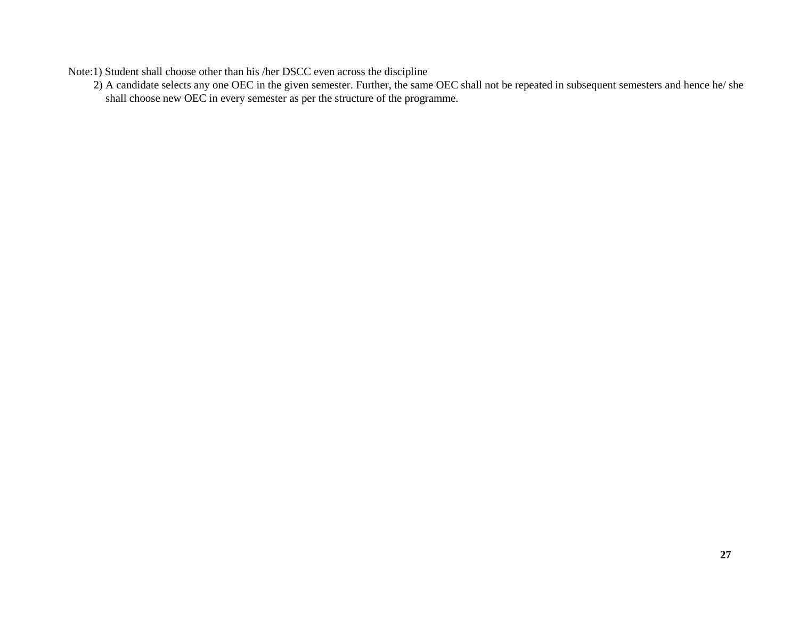Note:1) Student shall choose other than his /her DSCC even across the discipline

2) A candidate selects any one OEC in the given semester. Further, the same OEC shall not be repeated in subsequent semesters and hence he/ she shall choose new OEC in every semester as per the structure of the programme.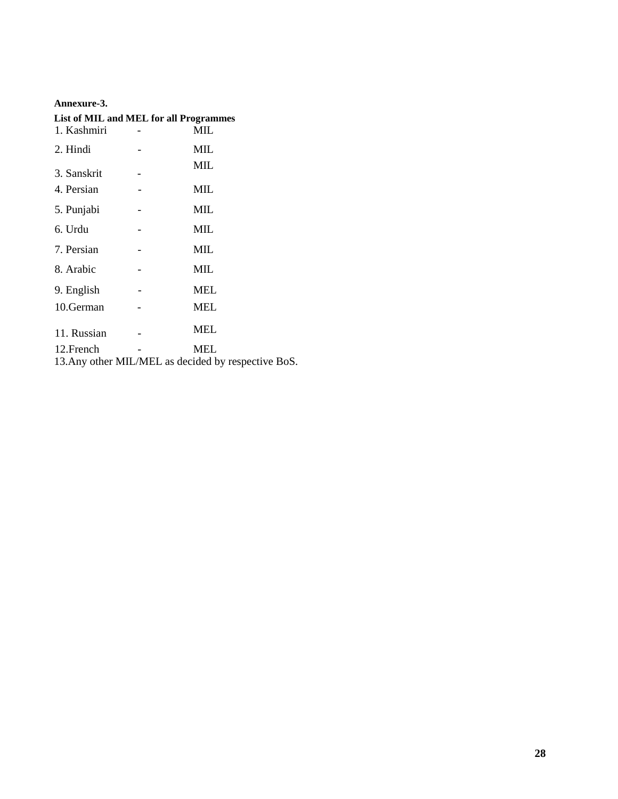#### **Annexure-3.**

| List of MIL and MEL for all Programmes |  |                                                     |  |  |  |  |  |  |  |
|----------------------------------------|--|-----------------------------------------------------|--|--|--|--|--|--|--|
| 1. Kashmiri                            |  | MIL                                                 |  |  |  |  |  |  |  |
| 2. Hindi                               |  | MIL                                                 |  |  |  |  |  |  |  |
| 3. Sanskrit                            |  | МIL                                                 |  |  |  |  |  |  |  |
| 4. Persian                             |  | MIL                                                 |  |  |  |  |  |  |  |
| 5. Punjabi                             |  | MIL                                                 |  |  |  |  |  |  |  |
| 6. Urdu                                |  | MIL                                                 |  |  |  |  |  |  |  |
| 7. Persian                             |  | MIL                                                 |  |  |  |  |  |  |  |
| 8. Arabic                              |  | MIL                                                 |  |  |  |  |  |  |  |
| 9. English                             |  | MEL                                                 |  |  |  |  |  |  |  |
| 10.German                              |  | MEL                                                 |  |  |  |  |  |  |  |
| 11. Russian                            |  | MEL                                                 |  |  |  |  |  |  |  |
| 12. French                             |  | MEL                                                 |  |  |  |  |  |  |  |
|                                        |  | 13. Any other MIL/MEL as decided by respective BoS. |  |  |  |  |  |  |  |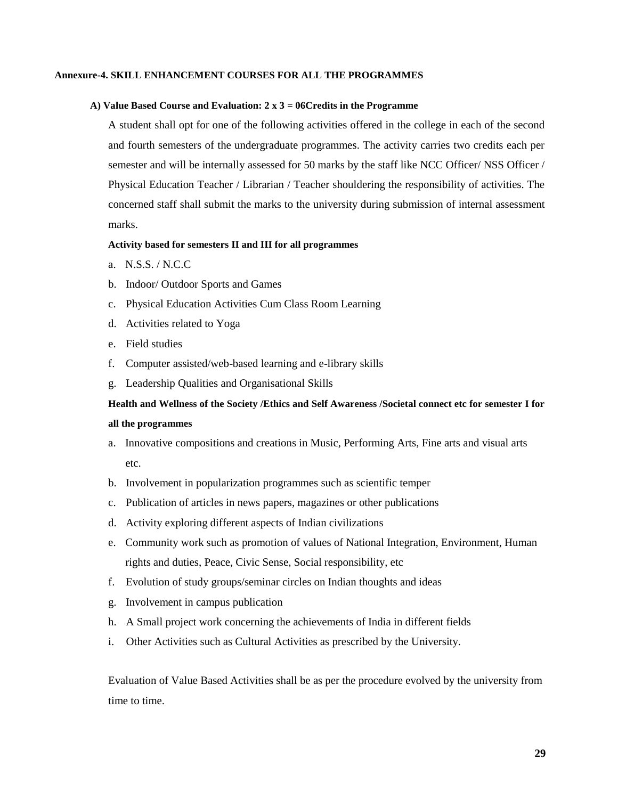#### **Annexure-4. SKILL ENHANCEMENT COURSES FOR ALL THE PROGRAMMES**

#### **A) Value Based Course and Evaluation: 2 x 3 = 06Credits in the Programme**

A student shall opt for one of the following activities offered in the college in each of the second and fourth semesters of the undergraduate programmes. The activity carries two credits each per semester and will be internally assessed for 50 marks by the staff like NCC Officer/ NSS Officer / Physical Education Teacher / Librarian / Teacher shouldering the responsibility of activities. The concerned staff shall submit the marks to the university during submission of internal assessment marks.

#### **Activity based for semesters II and III for all programmes**

- a. N.S.S. / N.C.C
- b. Indoor/ Outdoor Sports and Games
- c. Physical Education Activities Cum Class Room Learning
- d. Activities related to Yoga
- e. Field studies
- f. Computer assisted/web-based learning and e-library skills
- g. Leadership Qualities and Organisational Skills

# **Health and Wellness of the Society /Ethics and Self Awareness /Societal connect etc for semester I for all the programmes**

- a. Innovative compositions and creations in Music, Performing Arts, Fine arts and visual arts etc.
- b. Involvement in popularization programmes such as scientific temper
- c. Publication of articles in news papers, magazines or other publications
- d. Activity exploring different aspects of Indian civilizations
- e. Community work such as promotion of values of National Integration, Environment, Human rights and duties, Peace, Civic Sense, Social responsibility, etc
- f. Evolution of study groups/seminar circles on Indian thoughts and ideas
- g. Involvement in campus publication
- h. A Small project work concerning the achievements of India in different fields
- i. Other Activities such as Cultural Activities as prescribed by the University.

Evaluation of Value Based Activities shall be as per the procedure evolved by the university from time to time.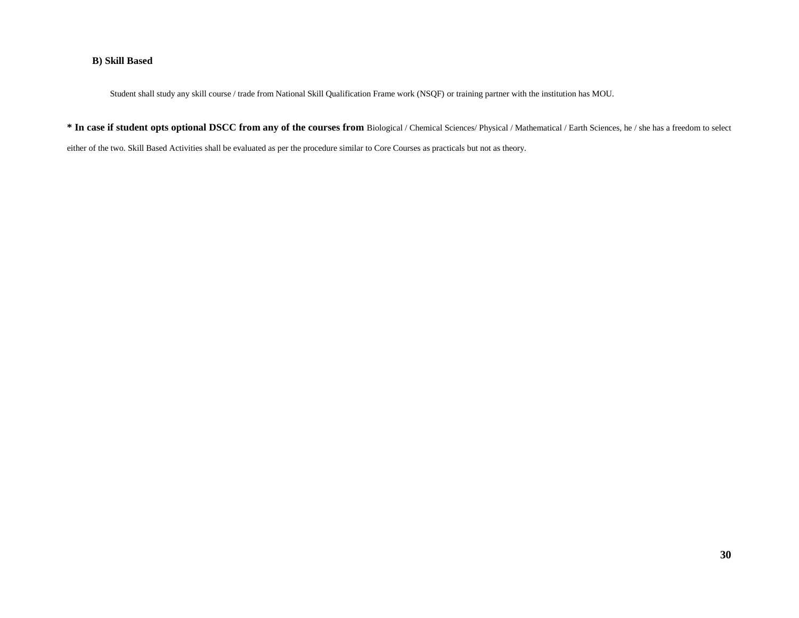#### **B) Skill Based**

Student shall study any skill course / trade from National Skill Qualification Frame work (NSQF) or training partner with the institution has MOU.

**\* In case if student opts optional DSCC from any of the courses from** Biological / Chemical Sciences/ Physical / Mathematical / Earth Sciences, he / she has a freedom to select

either of the two. Skill Based Activities shall be evaluated as per the procedure similar to Core Courses as practicals but not as theory.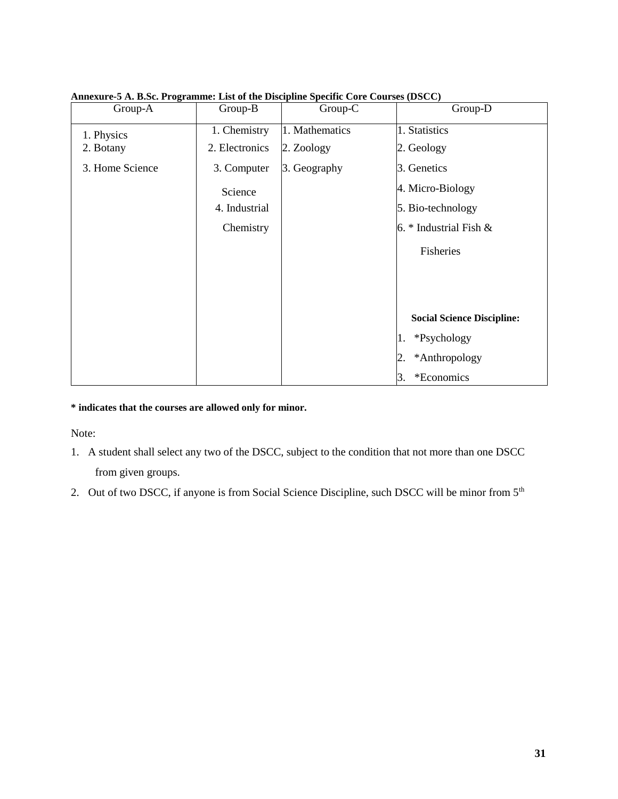| Group-A         | Group-B        | Group-C        | Group-D                           |  |  |
|-----------------|----------------|----------------|-----------------------------------|--|--|
| 1. Physics      | 1. Chemistry   | 1. Mathematics | 1. Statistics                     |  |  |
| 2. Botany       | 2. Electronics | 2. Zoology     | 2. Geology                        |  |  |
| 3. Home Science | 3. Computer    | 3. Geography   | 3. Genetics                       |  |  |
|                 | Science        |                | 4. Micro-Biology                  |  |  |
|                 | 4. Industrial  |                | 5. Bio-technology                 |  |  |
|                 | Chemistry      |                | 6. $*$ Industrial Fish &          |  |  |
|                 |                |                | Fisheries                         |  |  |
|                 |                |                |                                   |  |  |
|                 |                |                |                                   |  |  |
|                 |                |                |                                   |  |  |
|                 |                |                | <b>Social Science Discipline:</b> |  |  |
|                 |                |                | *Psychology<br>Π.                 |  |  |
|                 |                |                | *Anthropology<br>2.               |  |  |
|                 |                |                | *Economics<br>3.                  |  |  |

**Annexure-5 A. B.Sc. Programme: List of the Discipline Specific Core Courses (DSCC)**

**\* indicates that the courses are allowed only for minor.**

Note:

- 1. A student shall select any two of the DSCC, subject to the condition that not more than one DSCC from given groups.
- 2. Out of two DSCC, if anyone is from Social Science Discipline, such DSCC will be minor from 5<sup>th</sup>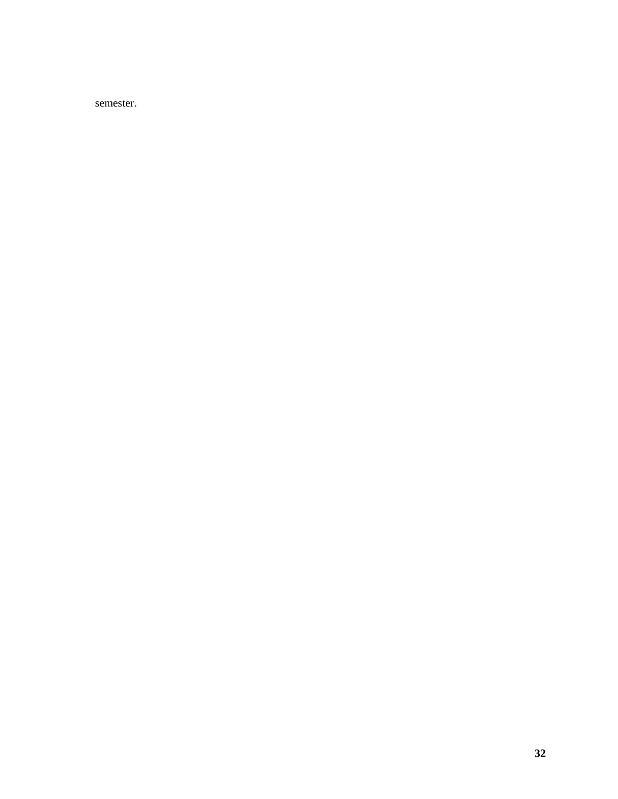semester.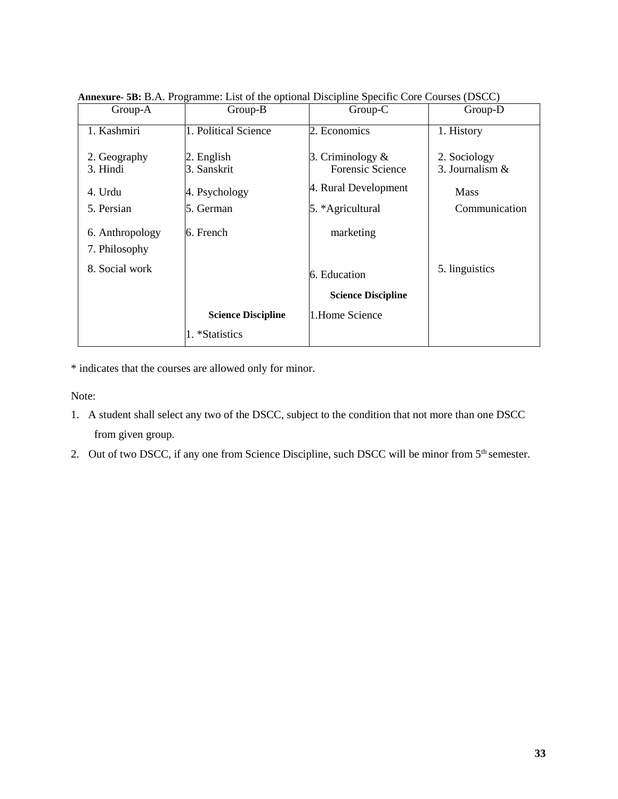|                 | $\mu$ microsecopy $\mu$ . The set of the optional Discipline operative courses (DDCC) |                           |                   |
|-----------------|---------------------------------------------------------------------------------------|---------------------------|-------------------|
| Group-A         | Group-B                                                                               | Group-C                   | Group-D           |
|                 |                                                                                       |                           |                   |
| 1. Kashmiri     | 1. Political Science                                                                  | 2. Economics              | 1. History        |
|                 |                                                                                       |                           |                   |
| 2. Geography    | 2. English                                                                            | 3. Criminology $\&$       | 2. Sociology      |
| 3. Hindi        | 3. Sanskrit                                                                           | Forensic Science          | 3. Journalism $&$ |
|                 |                                                                                       |                           |                   |
| 4. Urdu         | 4. Psychology                                                                         | 4. Rural Development      | <b>Mass</b>       |
|                 |                                                                                       |                           |                   |
| 5. Persian      | 5. German                                                                             | 5. *Agricultural          | Communication     |
|                 |                                                                                       |                           |                   |
| 6. Anthropology | 6. French                                                                             | marketing                 |                   |
|                 |                                                                                       |                           |                   |
| 7. Philosophy   |                                                                                       |                           |                   |
|                 |                                                                                       |                           |                   |
| 8. Social work  |                                                                                       | 6. Education              | 5. linguistics    |
|                 |                                                                                       |                           |                   |
|                 |                                                                                       | <b>Science Discipline</b> |                   |
|                 |                                                                                       |                           |                   |
|                 | <b>Science Discipline</b>                                                             | 1.Home Science            |                   |
|                 | 1. *Statistics                                                                        |                           |                   |
|                 |                                                                                       |                           |                   |

**Annexure- 5B:** B.A. Programme: List of the optional Discipline Specific Core Courses (DSCC)

\* indicates that the courses are allowed only for minor.

Note:

- 1. A student shall select any two of the DSCC, subject to the condition that not more than one DSCC from given group.
- 2. Out of two DSCC, if any one from Science Discipline, such DSCC will be minor from 5<sup>th</sup> semester.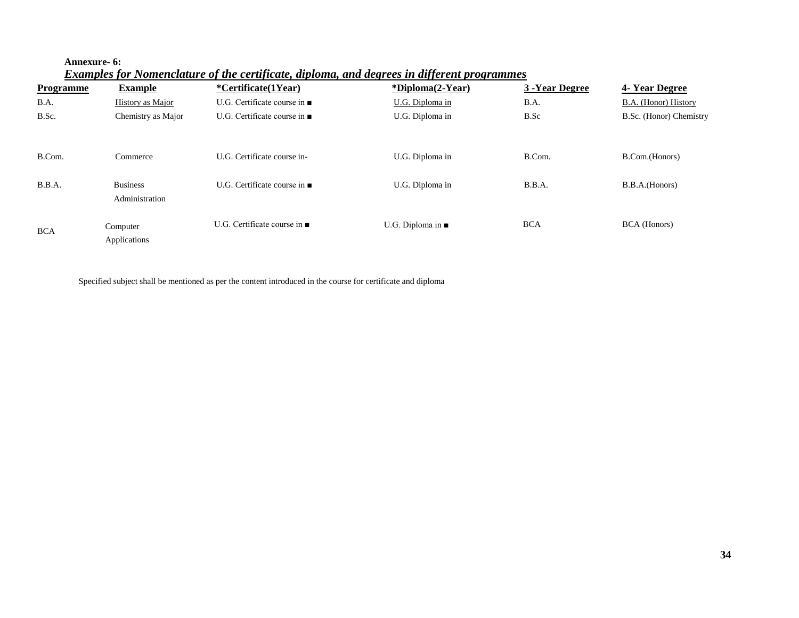#### **Annexure- 6:**

*Examples for Nomenclature of the certificate, diploma, and degrees in different programmes*

| <b>Programme</b> | <b>Example</b>                    | <i>*Certificate(1Year)</i>                | <i><b>*Diploma(2-Year)</b></i> | 3 - Year Degree | 4- Year Degree          |
|------------------|-----------------------------------|-------------------------------------------|--------------------------------|-----------------|-------------------------|
| B.A.             | History as Major                  | U.G. Certificate course in $\blacksquare$ | U.G. Diploma in                | B.A.            | B.A. (Honor) History    |
| B.Sc.            | Chemistry as Major                | U.G. Certificate course in $\blacksquare$ | U.G. Diploma in                | B.Sc            | B.Sc. (Honor) Chemistry |
|                  |                                   |                                           |                                |                 |                         |
| B.Com.           | Commerce                          | U.G. Certificate course in-               | U.G. Diploma in                | B.Com.          | B.Com.(Honors)          |
| B.B.A.           | <b>Business</b><br>Administration | U.G. Certificate course in $\blacksquare$ | U.G. Diploma in                | B.B.A.          | B.B.A.(Honors)          |
| <b>BCA</b>       | Computer<br>Applications          | U.G. Certificate course in $\blacksquare$ | U.G. Diploma in $\blacksquare$ | <b>BCA</b>      | <b>BCA</b> (Honors)     |

Specified subject shall be mentioned as per the content introduced in the course for certificate and diploma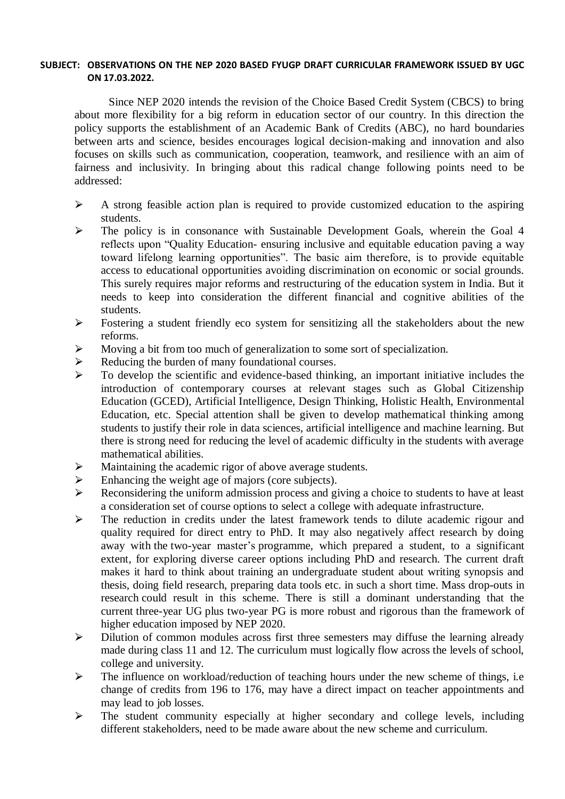#### **SUBJECT: OBSERVATIONS ON THE NEP 2020 BASED FYUGP DRAFT CURRICULAR FRAMEWORK ISSUED BY UGC ON 17.03.2022.**

Since NEP 2020 intends the revision of the Choice Based Credit System (CBCS) to bring about more flexibility for a big reform in education sector of our country. In this direction the policy supports the establishment of an Academic Bank of Credits (ABC), no hard boundaries between arts and science, besides encourages logical decision-making and innovation and also focuses on skills such as communication, cooperation, teamwork, and resilience with an aim of fairness and inclusivity. In bringing about this radical change following points need to be addressed:

- $\triangleright$  A strong feasible action plan is required to provide customized education to the aspiring students.
- $\triangleright$  The policy is in consonance with Sustainable Development Goals, wherein the Goal 4 reflects upon "Quality Education- ensuring inclusive and equitable education paving a way toward lifelong learning opportunities". The basic aim therefore, is to provide equitable access to educational opportunities avoiding discrimination on economic or social grounds. This surely requires major reforms and restructuring of the education system in India. But it needs to keep into consideration the different financial and cognitive abilities of the students.
- $\triangleright$  Fostering a student friendly eco system for sensitizing all the stakeholders about the new reforms.
- $\triangleright$  Moving a bit from too much of generalization to some sort of specialization.
- $\triangleright$  Reducing the burden of many foundational courses.
- $\triangleright$  To develop the scientific and evidence-based thinking, an important initiative includes the introduction of contemporary courses at relevant stages such as Global Citizenship Education (GCED), Artificial Intelligence, Design Thinking, Holistic Health, Environmental Education, etc. Special attention shall be given to develop mathematical thinking among students to justify their role in data sciences, artificial intelligence and machine learning. But there is strong need for reducing the level of academic difficulty in the students with average mathematical abilities.
- $\triangleright$  Maintaining the academic rigor of above average students.
- $\triangleright$  Enhancing the weight age of majors (core subjects).
- $\triangleright$  Reconsidering the uniform admission process and giving a choice to students to have at least a consideration set of course options to select a college with adequate infrastructure.
- $\triangleright$  The reduction in credits under the latest framework tends to dilute academic rigour and quality required for direct entry to PhD. It may also negatively affect research by doing away with the two-year master's programme, which prepared a student, to a significant extent, for exploring diverse career options including PhD and research. The current draft makes it hard to think about training an undergraduate student about writing synopsis and thesis, doing field research, preparing data tools etc. in such a short time. Mass drop-outs in research could result in this scheme. There is still a dominant understanding that the current three-year UG plus two-year PG is more robust and rigorous than the framework of higher education imposed by NEP 2020.
- $\triangleright$  Dilution of common modules across first three semesters may diffuse the learning already made during class 11 and 12. The curriculum must logically flow across the levels of school, college and university.
- $\triangleright$  The influence on workload/reduction of teaching hours under the new scheme of things, i.e. change of credits from 196 to 176, may have a direct impact on teacher appointments and may lead to job losses.
- $\triangleright$  The student community especially at higher secondary and college levels, including different stakeholders, need to be made aware about the new scheme and curriculum.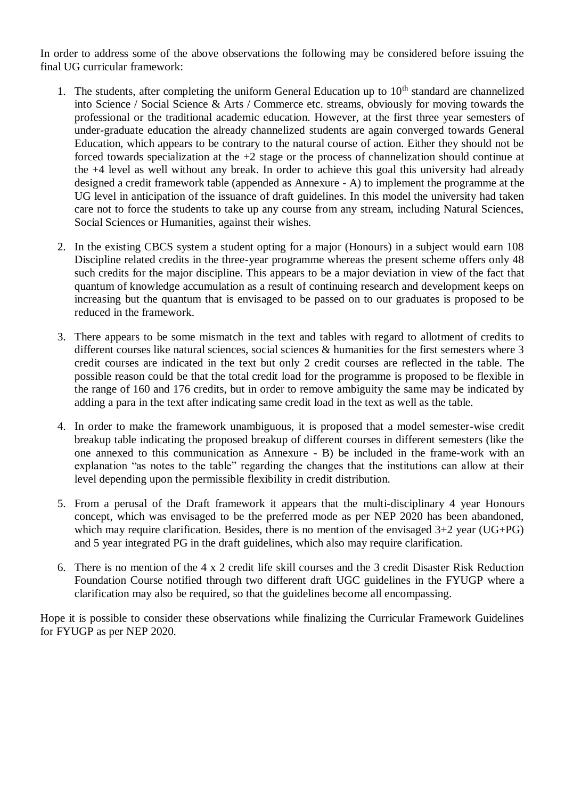In order to address some of the above observations the following may be considered before issuing the final UG curricular framework:

- 1. The students, after completing the uniform General Education up to  $10<sup>th</sup>$  standard are channelized into Science / Social Science & Arts / Commerce etc. streams, obviously for moving towards the professional or the traditional academic education. However, at the first three year semesters of under-graduate education the already channelized students are again converged towards General Education, which appears to be contrary to the natural course of action. Either they should not be forced towards specialization at the +2 stage or the process of channelization should continue at the +4 level as well without any break. In order to achieve this goal this university had already designed a credit framework table (appended as Annexure - A) to implement the programme at the UG level in anticipation of the issuance of draft guidelines. In this model the university had taken care not to force the students to take up any course from any stream, including Natural Sciences, Social Sciences or Humanities, against their wishes.
- 2. In the existing CBCS system a student opting for a major (Honours) in a subject would earn 108 Discipline related credits in the three-year programme whereas the present scheme offers only 48 such credits for the major discipline. This appears to be a major deviation in view of the fact that quantum of knowledge accumulation as a result of continuing research and development keeps on increasing but the quantum that is envisaged to be passed on to our graduates is proposed to be reduced in the framework.
- 3. There appears to be some mismatch in the text and tables with regard to allotment of credits to different courses like natural sciences, social sciences & humanities for the first semesters where 3 credit courses are indicated in the text but only 2 credit courses are reflected in the table. The possible reason could be that the total credit load for the programme is proposed to be flexible in the range of 160 and 176 credits, but in order to remove ambiguity the same may be indicated by adding a para in the text after indicating same credit load in the text as well as the table.
- 4. In order to make the framework unambiguous, it is proposed that a model semester-wise credit breakup table indicating the proposed breakup of different courses in different semesters (like the one annexed to this communication as Annexure - B) be included in the frame-work with an explanation "as notes to the table" regarding the changes that the institutions can allow at their level depending upon the permissible flexibility in credit distribution.
- 5. From a perusal of the Draft framework it appears that the multi-disciplinary 4 year Honours concept, which was envisaged to be the preferred mode as per NEP 2020 has been abandoned, which may require clarification. Besides, there is no mention of the envisaged 3+2 year (UG+PG) and 5 year integrated PG in the draft guidelines, which also may require clarification.
- 6. There is no mention of the 4 x 2 credit life skill courses and the 3 credit Disaster Risk Reduction Foundation Course notified through two different draft UGC guidelines in the FYUGP where a clarification may also be required, so that the guidelines become all encompassing.

Hope it is possible to consider these observations while finalizing the Curricular Framework Guidelines for FYUGP as per NEP 2020.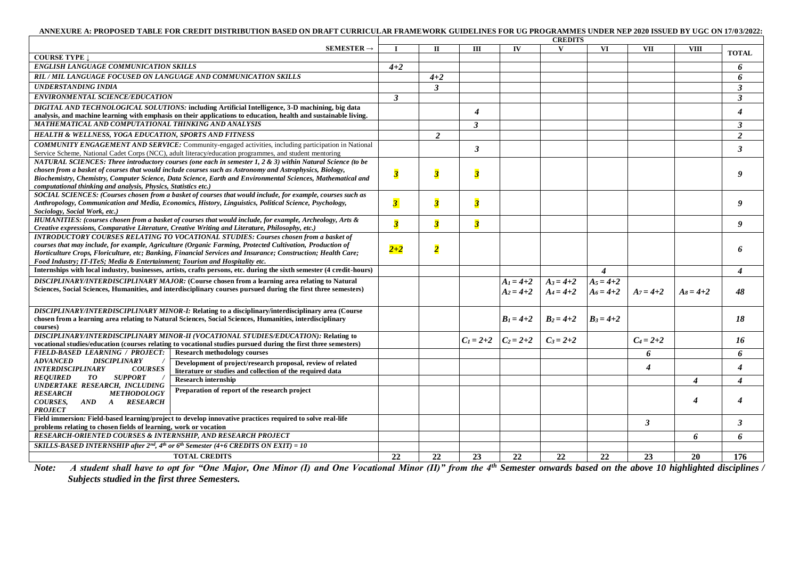#### **ANNEXURE A: PROPOSED TABLE FOR CREDIT DISTRIBUTION BASED ON DRAFT CURRICULAR FRAMEWORK GUIDELINES FOR UG PROGRAMMES UNDER NEP 2020 ISSUED BY UGC ON 17/03/2022:**

| $SEMESTER \rightarrow$<br>IV<br>VI<br><b>VII</b><br>$\mathbf{H}$<br>Ш<br>V<br><b>VIII</b><br><b>TOTAL</b><br><b>COURSE TYPE</b><br><b>ENGLISH LANGUAGE COMMUNICATION SKILLS</b><br>$4 + 2$<br>6<br>RIL / MIL LANGUAGE FOCUSED ON LANGUAGE AND COMMUNICATION SKILLS<br>6<br>$4 + 2$<br><b>UNDERSTANDING INDIA</b><br>$\mathbf{3}$<br>$\mathbf{3}$<br><b>ENVIRONMENTAL SCIENCE/EDUCATION</b><br>$\mathbf{3}$<br>3<br>DIGITAL AND TECHNOLOGICAL SOLUTIONS: including Artificial Intelligence, 3-D machining, big data<br>$\boldsymbol{4}$<br>$\boldsymbol{\Lambda}$<br>analysis, and machine learning with emphasis on their applications to education, health and sustainable living.<br>MATHEMATICAL AND COMPUTATIONAL THINKING AND ANALYSIS<br>$\boldsymbol{\beta}$<br>$\mathbf{3}$ |
|-------------------------------------------------------------------------------------------------------------------------------------------------------------------------------------------------------------------------------------------------------------------------------------------------------------------------------------------------------------------------------------------------------------------------------------------------------------------------------------------------------------------------------------------------------------------------------------------------------------------------------------------------------------------------------------------------------------------------------------------------------------------------------------|
|                                                                                                                                                                                                                                                                                                                                                                                                                                                                                                                                                                                                                                                                                                                                                                                     |
|                                                                                                                                                                                                                                                                                                                                                                                                                                                                                                                                                                                                                                                                                                                                                                                     |
|                                                                                                                                                                                                                                                                                                                                                                                                                                                                                                                                                                                                                                                                                                                                                                                     |
|                                                                                                                                                                                                                                                                                                                                                                                                                                                                                                                                                                                                                                                                                                                                                                                     |
|                                                                                                                                                                                                                                                                                                                                                                                                                                                                                                                                                                                                                                                                                                                                                                                     |
|                                                                                                                                                                                                                                                                                                                                                                                                                                                                                                                                                                                                                                                                                                                                                                                     |
|                                                                                                                                                                                                                                                                                                                                                                                                                                                                                                                                                                                                                                                                                                                                                                                     |
|                                                                                                                                                                                                                                                                                                                                                                                                                                                                                                                                                                                                                                                                                                                                                                                     |
|                                                                                                                                                                                                                                                                                                                                                                                                                                                                                                                                                                                                                                                                                                                                                                                     |
| $\overline{2}$<br><b>HEALTH &amp; WELLNESS, YOGA EDUCATION, SPORTS AND FITNESS</b><br>2                                                                                                                                                                                                                                                                                                                                                                                                                                                                                                                                                                                                                                                                                             |
| <b>COMMUNITY ENGAGEMENT AND SERVICE:</b> Community-engaged activities, including participation in National<br>3<br>$\mathfrak{Z}$                                                                                                                                                                                                                                                                                                                                                                                                                                                                                                                                                                                                                                                   |
| Service Scheme, National Cadet Corps (NCC), adult literacy/education programmes, and student mentoring                                                                                                                                                                                                                                                                                                                                                                                                                                                                                                                                                                                                                                                                              |
| NATURAL SCIENCES: Three introductory courses (one each in semester 1, 2 & 3) within Natural Science (to be                                                                                                                                                                                                                                                                                                                                                                                                                                                                                                                                                                                                                                                                          |
| chosen from a basket of courses that would include courses such as Astronomy and Astrophysics, Biology,<br>$\overline{\mathbf{3}}$<br>$\overline{\mathbf{3}}$<br>$\overline{\mathbf{3}}$<br>9<br>Biochemistry, Chemistry, Computer Science, Data Science, Earth and Environmental Sciences, Mathematical and                                                                                                                                                                                                                                                                                                                                                                                                                                                                        |
| computational thinking and analysis, Physics, Statistics etc.)                                                                                                                                                                                                                                                                                                                                                                                                                                                                                                                                                                                                                                                                                                                      |
| SOCIAL SCIENCES: (Courses chosen from a basket of courses that would include, for example, courses such as                                                                                                                                                                                                                                                                                                                                                                                                                                                                                                                                                                                                                                                                          |
| $\overline{\mathbf{3}}$<br>$\overline{\mathbf{3}}$<br>$\overline{\mathbf{3}}$<br>9<br>Anthropology, Communication and Media, Economics, History, Linguistics, Political Science, Psychology,                                                                                                                                                                                                                                                                                                                                                                                                                                                                                                                                                                                        |
| Sociology, Social Work, etc.)                                                                                                                                                                                                                                                                                                                                                                                                                                                                                                                                                                                                                                                                                                                                                       |
| HUMANITIES: (courses chosen from a basket of courses that would include, for example, Archeology, Arts &<br>$\overline{\mathbf{3}}$<br>$\overline{\mathbf{3}}$<br>$\overline{\mathbf{3}}$<br>$\boldsymbol{q}$                                                                                                                                                                                                                                                                                                                                                                                                                                                                                                                                                                       |
| Creative expressions, Comparative Literature, Creative Writing and Literature, Philosophy, etc.)<br><b>INTRODUCTORY COURSES RELATING TO VOCATIONAL STUDIES: Courses chosen from a basket of</b>                                                                                                                                                                                                                                                                                                                                                                                                                                                                                                                                                                                     |
| courses that may include, for example, Agriculture (Organic Farming, Protected Cultivation, Production of                                                                                                                                                                                                                                                                                                                                                                                                                                                                                                                                                                                                                                                                           |
| $2 + 2$<br>$\overline{\mathbf{2}}$<br>6<br>Horticulture Crops, Floriculture, etc; Banking, Financial Services and Insurance; Construction; Health Care;                                                                                                                                                                                                                                                                                                                                                                                                                                                                                                                                                                                                                             |
| Food Industry; IT-ITeS; Media & Entertainment; Tourism and Hospitality etc.                                                                                                                                                                                                                                                                                                                                                                                                                                                                                                                                                                                                                                                                                                         |
| Internships with local industry, businesses, artists, crafts persons, etc. during the sixth semester (4 credit-hours)<br>$\boldsymbol{4}$<br>$\boldsymbol{4}$                                                                                                                                                                                                                                                                                                                                                                                                                                                                                                                                                                                                                       |
| DISCIPLINARY/INTERDISCIPLINARY MAJOR: (Course chosen from a learning area relating to Natural<br>$A_3 = 4 + 2$<br>$A_5 = 4 + 2$<br>$A_1 = 4 + 2$                                                                                                                                                                                                                                                                                                                                                                                                                                                                                                                                                                                                                                    |
| Sciences, Social Sciences, Humanities, and interdisciplinary courses pursued during the first three semesters)<br>$A_2 = 4 + 2$<br>$A_4 = 4 + 2$<br>$A_6 = 4 + 2$<br>$A_7 = 4 + 2$<br>$As = 4+2$<br>48                                                                                                                                                                                                                                                                                                                                                                                                                                                                                                                                                                              |
|                                                                                                                                                                                                                                                                                                                                                                                                                                                                                                                                                                                                                                                                                                                                                                                     |
| DISCIPLINARY/INTERDISCIPLINARY MINOR-I: Relating to a disciplinary/interdisciplinary area (Course                                                                                                                                                                                                                                                                                                                                                                                                                                                                                                                                                                                                                                                                                   |
| $B_2 = 4 + 2$<br>$B_3 = 4 + 2$<br>$B_1 = 4 + 2$<br>18<br>chosen from a learning area relating to Natural Sciences, Social Sciences, Humanities, interdisciplinary                                                                                                                                                                                                                                                                                                                                                                                                                                                                                                                                                                                                                   |
| courses)                                                                                                                                                                                                                                                                                                                                                                                                                                                                                                                                                                                                                                                                                                                                                                            |
| DISCIPLINARY/INTERDISCIPLINARY MINOR-II (VOCATIONAL STUDIES/EDUCATION): Relating to<br>$C_1 = 2+2$ $C_2 = 2+2$<br>$C_3 = 2+2$<br>$C_4 = 2 + 2$<br>16                                                                                                                                                                                                                                                                                                                                                                                                                                                                                                                                                                                                                                |
| vocational studies/education (courses relating to vocational studies pursued during the first three semesters)<br>FIELD-BASED LEARNING / PROJECT:<br>6                                                                                                                                                                                                                                                                                                                                                                                                                                                                                                                                                                                                                              |
| <b>Research methodology courses</b><br>6<br><b>ADVANCED</b><br><b>DISCIPLINARY</b>                                                                                                                                                                                                                                                                                                                                                                                                                                                                                                                                                                                                                                                                                                  |
| Development of project/research proposal, review of related<br>$\boldsymbol{4}$<br>4<br><b>INTERDISCIPLINARY</b><br><b>COURSES</b><br>literature or studies and collection of the required data                                                                                                                                                                                                                                                                                                                                                                                                                                                                                                                                                                                     |
| <b>SUPPORT</b><br>TO<br><b>REQUIRED</b><br><b>Research internship</b><br>$\boldsymbol{\Lambda}$<br>$\boldsymbol{\Lambda}$                                                                                                                                                                                                                                                                                                                                                                                                                                                                                                                                                                                                                                                           |
| UNDERTAKE RESEARCH, INCLUDING<br>Preparation of report of the research project                                                                                                                                                                                                                                                                                                                                                                                                                                                                                                                                                                                                                                                                                                      |
| <b>METHODOLOGY</b><br><b>RESEARCH</b><br>4<br>$\boldsymbol{\Lambda}$                                                                                                                                                                                                                                                                                                                                                                                                                                                                                                                                                                                                                                                                                                                |
| <b>COURSES,</b><br>AND A RESEARCH                                                                                                                                                                                                                                                                                                                                                                                                                                                                                                                                                                                                                                                                                                                                                   |
| <b>PROJECT</b><br>Field immersion: Field-based learning/project to develop innovative practices required to solve real-life                                                                                                                                                                                                                                                                                                                                                                                                                                                                                                                                                                                                                                                         |
| $\mathbf{3}$<br>3<br>problems relating to chosen fields of learning, work or vocation                                                                                                                                                                                                                                                                                                                                                                                                                                                                                                                                                                                                                                                                                               |
| <b>RESEARCH-ORIENTED COURSES &amp; INTERNSHIP, AND RESEARCH PROJECT</b><br>6<br>6                                                                                                                                                                                                                                                                                                                                                                                                                                                                                                                                                                                                                                                                                                   |
| SKILLS-BASED INTERNSHIP after $2^{nd}$ , $4^{th}$ or $6^{th}$ Semester (4+6 CREDITS ON EXIT) = 10                                                                                                                                                                                                                                                                                                                                                                                                                                                                                                                                                                                                                                                                                   |
| <b>TOTAL CREDITS</b><br>22<br>22<br>23<br>22<br>22<br>22<br>23<br>20<br>176                                                                                                                                                                                                                                                                                                                                                                                                                                                                                                                                                                                                                                                                                                         |

*Note: A student shall have to opt for "One Major, One Minor (I) and One Vocational Minor (II)" from the 4th Semester onwards based on the above 10 highlighted disciplines / Subjects studied in the first three Semesters.*